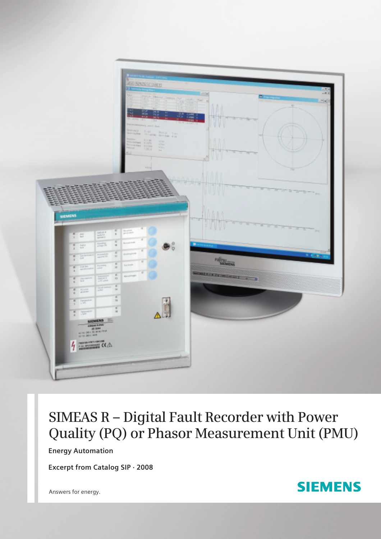

# **SIMEAS R – Digital Fault Recorder with Power Quality (PQ) or Phasor Measurement Unit (PMU)**

**Energy Automation**

**Excerpt from Catalog SIP · 2008**

Answers for energy.

# **SIEMENS**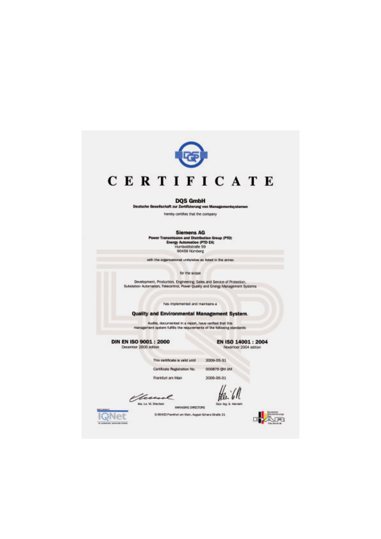

#### **DQS GmbH**

Deutsche Gesellschaft zur Zertiftzierung von Managementsystemen

hereby certifies that the company

| Siemens AG                                      |
|-------------------------------------------------|
| Power Transmission and Distribution Group (PTD) |
| Energy Automation (PTD EA)                      |
| Humbokitstraße 59                               |
| 90459 Nümberg                                   |

with the organizational units/sites as listed in the annex.

for the scope

Development, Production, Engineering, Sales and Service of Protection.<br>Substation Automation, Telecontrol, Power Quality and Energy Management Systems

has implemented and maintains a

# Quality and Environmental Management System.

.<br>Audits, documented in a report, have verified that this<br>management system fulfills the requirements of the following standards:

**DIN EN ISO 9001: 2000** December 2000 edition

EN ISO 14001: 2004 November 2004 edition

| This certificate is valid until | 2009-05-31   |
|---------------------------------|--------------|
| Certificate Regularation No.    | DODBTS OM UN |
| Frankfurt are Main              | 2006-06-01   |

0-50433 Pankfurt om Main, August-Scharz-Straße 21

Victoria MANAGING DIRECTORS

KgNet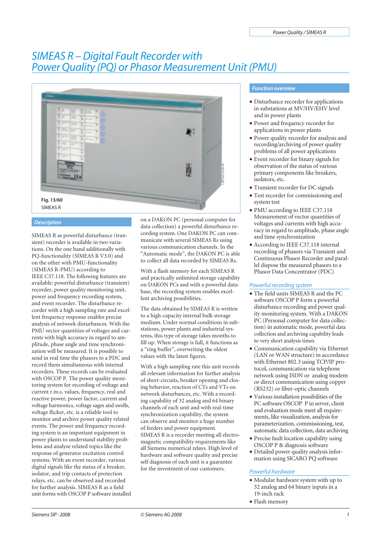# *SIMEAS R – Digital Fault Recorder with Power Quality (PQ) or Phasor Measurement Unit (PMU)*



#### *Description*

SIMEAS R as powerful disturbance (transient) recorder is available in two variations. On the one hand additionally with PQ-functionality (SIMEAS R V3.0) and on the other with PMU-functionality (SIMEAS R-PMU) according to IEEE C37.118. The following features are available: powerful disturbance (transient) recorder, power quality monitoring unit, power and frequency recording system, and event recorder. The disturbance recorder with a high sampling rate and excellent frequency response enables precise analysis of network disturbances. With the PMU vector quantities of voltages and currents with high accuracy in regard to amplitude, phase angle and time synchronization will be measured. It is possible to send in real time the phasors to a PDC and record them simultaneous with internal recorders. These records can be evaluated with OSCOP P. The power quality monitoring system for recording of voltage and current r.m.s. values, frequency, real and reactive power, power factor, current and voltage harmonics, voltage sages and swells, voltage flicker, etc. is a reliable tool to monitor and archive power quality related events. The power and frequency recording system is an important equipment in power plants to understand stability problems and analyze related topics like the response of generator excitation control systems. With an event recorder, various digital signals like the status of a breaker, isolator, and trip contacts of protection relays, etc. can be observed and recorded for further analysis. SIMEAS R as a field unit forms with OSCOP P software installed on a DAKON PC (personal computer for data collection) a powerful disturbance recording system. One DAKON PC can communicate with several SIMEAS Rs using various communication channels. In the "Automatic mode", the DAKON PC is able to collect all data recorded by SIMEAS Rs.

With a flash memory for each SIMEAS R and practically unlimited storage capability on DAKON PCs and with a powerful database, the recording system enables excellent archiving possibilities.

The data obtained by SIMEAS R is written to a high-capacity internal bulk storage medium. Under normal conditions in substations, power plants and industrial systems, this type of storage takes months to fill up. When storage is full, it functions as a "ring buffer", overwriting the oldest values with the latest figures.

With a high sampling rate this unit records all relevant information for further analysis of short-circuits, breaker opening and closing behavior, reaction of CTs and VTs on network disturbances, etc. With a recording capability of 32 analog and 64 binary channels of each unit and with real-time synchronization capability, the system can observe and monitor a huge number of feeders and power equipment. SIMEAS R is a recorder meeting all electromagnetic compatibility requirements like all Siemens numerical relays. High level of hardware and software quality and precise self diagnosis of each unit is a guarantee for the investment of our customers.

# *Function overview*

- Disturbance recorder for applications in substations at MV/HV/EHV level and in power plants
- Power and frequency recorder for applications in power plants
- Power quality recorder for analysis and recording/archiving of power quality problems of all power applications
- Event recorder for binary signals for observation of the status of various primary components like breakers, isolators, etc.
- Transient recorder for DC signals
- Test recorder for commissioning and system test
- PMU according to IEEE C37.118 Measurement of vector quantities of voltages and currents with high accuracy in regard to amplitude, phase angle and time synchronization
- According to IEEE C37.118 internal recording of phasors via Transient and Continuous Phasor Recorder and parallel dispose the measured phasors to a Phasor Data Concentrator (PDC)

# *Powerful recording system*

- The field units SIMEAS R and the PC software OSCOP P form a powerful disturbance recording and power quality monitoring system. With a DAKON PC (Personal computer for data collection) in automatic mode, powerful data collection and archiving capability leads to very short analysis times
- Communication capability via Ethernet (LAN or WAN structure) in accordance with Ethernet 802.3 using TCP/IP protocol, communication via telephone network using ISDN or analog modem or direct communication using copper (RS232) or fiber-optic channels
- Various installation possibilities of the PC software OSCOP P in server, client and evaluation mode meet all requirements, like visualization, analysis for parameterization, commissioning, test, automatic data collection, data archiving
- Precise fault location capability using OSCOP P & diagnosis software
- Detailed power quality analysis information using SlCARO PQ software

# *Powerful hardware*

- Modular hardware system with up to 32 analog and 64 binary inputs in a 19-inch rack
- Flash memory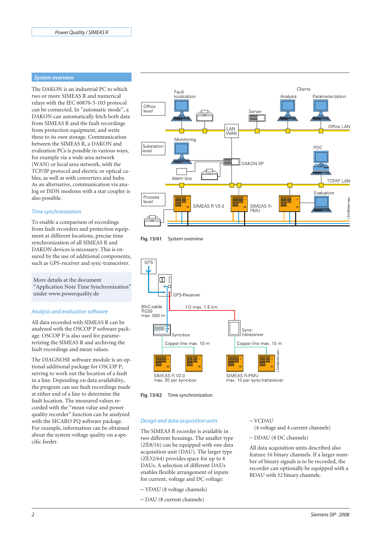#### *System overview*

The DAKON is an industrial PC to which two or more SIMEAS R and numerical relays with the IEC 60870-5-103 protocol can be connected. In "automatic mode", a DAKON can automatically fetch both data from SIMEAS R and the fault recordings from protection equipment, and write these to its own storage. Communication between the SIMEAS R, a DAKON and evaluation PCs is possible in various ways, for example via a wide area network (WAN) or local area network, with the TCP/IP protocol and electric or optical cables, as well as with converters and hubs. As an alternative, communication via analog or ISDN modems with a star coupler is also possible.

#### *Time synchronization*

To enable a comparison of recordings from fault recorders and protection equipment at different locations, precise time synchronization of all SIMEAS R and DAKON devices is necessary. This is ensured by the use of additional components, such as GPS-receiver and sync-transceiver.

More details at the document "Application Note Time Synchronization" under www.powerquality.de

# *Analysis and evaluation software*

All data recorded with SIMEAS R can be analyzed with the OSCOP P software package. OSCOP P is also used for parameterizing the SIMEAS R and archiving the fault recordings and mean values.

The DIAGNOSE software module is an optional additional package for OSCOP P, serving to work out the location of a fault in a line. Depending on data availability, the program can use fault recordings made at either end of a line to determine the fault location. The measured values recorded with the "mean value and power quality recorder" function can be analyzed with the SICARO PQ software package. For example, information can be obtained about the system voltage quality on a specific feeder.







**Fig. 13/62** Time synchronization

*Design and data acquisition units* The SIMEAS R recorder is available in two different housings. The smaller type (ZE8/16) can be equipped with one data acquisition unit (DAU). The larger type (ZE32/64) provides space for up to 4 DAUs. A selection of different DAUs enables flexible arrangement of inputs for current, voltage and DC voltage:

#### − VCDAU

(4 voltage and 4 current channels)

− DDAU (8 DC channels)

All data acquisition units described also feature 16 binary channels. If a larger number of binary signals is to be recorded, the recorder can optionally be equipped with a BDAU with 32 binary channels.

- − VDAU (8 voltage channels)
- − DAU (8 current channels)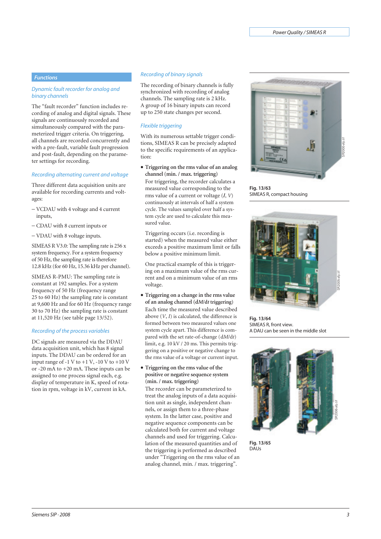# *Functions*

#### *Dynamic fault recorder for analog and binary channels*

The "fault recorder" function includes recording of analog and digital signals. These signals are continuously recorded and simultaneously compared with the parameterized trigger criteria. On triggering, all channels are recorded concurrently and with a pre-fault, variable fault progression and post-fault, depending on the parameter settings for recording.

#### *Recording alternating current and voltage*

Three different data acquisition units are available for recording currents and voltages:

- − VCDAU with 4 voltage and 4 current inputs,
- − CDAU with 8 current inputs or
- − VDAU with 8 voltage inputs.

SIMEAS R V3.0: The sampling rate is 256 x system frequency. For a system frequency of 50 Hz, the sampling rate is therefore 12.8 kHz (for 60 Hz, 15.36 kHz per channel).

SIMEAS R-PMU: The sampling rate is constant at 192 samples. For a system frequency of 50 Hz (frequency range 25 to 60 Hz) the sampling rate is constant at 9,600 Hz and for 60 Hz (frequency range 30 to 70 Hz) the sampling rate is constant at 11,520 Hz (see table page 13/52).

#### *Recording of the process variables*

DC signals are measured via the DDAU data acquisition unit, which has 8 signal inputs. The DDAU can be ordered for an input range of -1 V to  $+1$  V, -10 V to  $+10$  V or -20 mA to +20 mA. These inputs can be assigned to one process signal each, e.g. display of temperature in K, speed of rotation in rpm, voltage in kV, current in kA.

# *Recording of binary signals*

The recording of binary channels is fully synchronized with recording of analog channels. The sampling rate is 2 kHz. A group of 16 binary inputs can record up to 250 state changes per second.

### *Flexible triggering*

With its numerous settable trigger conditions, SIMEAS R can be precisely adapted to the specific requirements of an application:

• **Triggering on the rms value of an analog channel (min. / max. triggering)**

For triggering, the recorder calculates a measured value corresponding to the rms value of a current or voltage (*I*, *V*) continuously at intervals of half a system cycle. The values sampled over half a system cycle are used to calculate this measured value.

Triggering occurs (i.e. recording is started) when the measured value either exceeds a positive maximum limit or falls below a positive minimum limit.

One practical example of this is triggering on a maximum value of the rms current and on a minimum value of an rms voltage.

- **Triggering on a change in the rms value of an analog channel (d***M***/d***t* **triggering)** Each time the measured value described above (*V*, *I*) is calculated, the difference is formed between two measured values one system cycle apart. This difference is compared with the set rate-of-change (d*M*/d*t*) limit, e.g. 10 kV / 20 ms. This permits triggering on a positive or negative change to the rms value of a voltage or current input.
- **Triggering on the rms value of the positive or negative sequence system (min. / max. triggering)**

The recorder can be parameterized to treat the analog inputs of a data acquisition unit as single, independent channels, or assign them to a three-phase system. In the latter case, positive and negative sequence components can be calculated both for current and voltage channels and used for triggering. Calculation of the measured quantities and of the triggering is performed as described under "Triggering on the rms value of an analog channel, min. / max. triggering".



**Fig. 13/63** SIMEAS R, compact housing



**Fig. 13/64** SIMEAS R, front view. A DAU can be seen in the middle slot



**Fig. 13/65** DAUs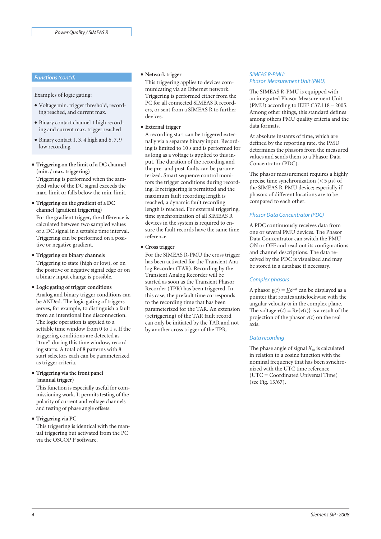#### *Functions(cont'd)*

Examples of logic gating:

- Voltage min. trigger threshold, recording reached, and current max.
- Binary contact channel 1 high recording and current max. trigger reached
- Binary contact 1, 3, 4 high and 6, 7, 9 low recording
- **Triggering on the limit of a DC channel (min. / max. triggering)**

Triggering is performed when the sampled value of the DC signal exceeds the max. limit or falls below the min. limit.

- **Triggering on the gradient of a DC channel (gradient triggering)** For the gradient trigger, the difference is calculated between two sampled values of a DC signal in a settable time interval. Triggering can be performed on a positive or negative gradient.
- **Triggering on binary channels** Triggering to state (high or low), or on the positive or negative signal edge or on a binary input change is possible.

# • **Logic gating of trigger conditions**

Analog and binary trigger conditions can be ANDed. The logic gating of triggers serves, for example, to distinguish a fault from an intentional line disconnection. The logic operation is applied to a settable time window from 0 to 1 s. If the triggering conditions are detected as "true" during this time window, recording starts. A total of 8 patterns with 8 start selectors each can be parameterized as trigger criteria.

# • **Triggering via the front panel (manual trigger)**

This function is especially useful for commissioning work. It permits testing of the polarity of current and voltage channels and testing of phase angle offsets.

• **Triggering via PC**

This triggering is identical with the manual triggering but activated from the PC via the OSCOP P software.

# • **Network trigger**

This triggering applies to devices communicating via an Ethernet network. Triggering is performed either from the PC for all connected SIMEAS R recorders, or sent from a SIMEAS R to further devices.

# • **External trigger**

A recording start can be triggered externally via a separate binary input. Recording is limited to 10 s and is performed for as long as a voltage is applied to this input. The duration of the recording and the pre- and post-faults can be parameterized. Smart sequence control monitors the trigger conditions during recording. If retriggering is permitted and the maximum fault recording length is reached, a dynamic fault recording length is reached. For external triggering, time synchronization of all SIMEAS R devices in the system is required to ensure the fault records have the same time reference.

# • **Cross trigger**

For the SIMEAS R-PMU the cross trigger has been activated for the Transient Analog Recorder (TAR). Recording by the Transient Analog Recorder will be started as soon as the Transient Phasor Recorder (TPR) has been triggered. In this case, the prefault time corresponds to the recording time that has been parameterized for the TAR. An extension (retriggering) of the TAR fault record can only be initiated by the TAR and not by another cross trigger of the TPR.

# *SIMEAS R-PMU: Phasor Measurement Unit (PMU)*

The SIMEAS R-PMU is equipped with an integrated Phasor Measurement Unit (PMU) according to IEEE C37.118 – 2005. Among other things, this standard defines among others PMU quality criteria and the data formats.

At absolute instants of time, which are defined by the reporting rate, the PMU determines the phasors from the measured values and sends them to a Phasor Data Concentrator (PDC).

The phasor measurement requires a highly precise time synchronization (< 5 μs) of the SIMEAS R-PMU device; especially if phasors of different locations are to be compared to each other.

# *Phasor Data Concentrator (PDC)*

A PDC continuously receives data from one or several PMU devices. The Phasor Data Concentrator can switch the PMU ON or OFF and read out its configurations and channel descriptions. The data received by the PDC is visualized and may be stored in a database if necessary.

# *Complex phasors*

A phasor  $\underline{v}(t) = \underline{V}e^{j\omega t}$  can be displayed as a pointer that rotates anticlockwise with the angular velocity ω in the complex plane. The voltage  $v(t) = \text{Re}\{v(t)\}\$ is a result of the projection of the phasor  $y(t)$  on the real axis.

# *Data recording*

The phase angle of signal  $X<sub>m</sub>$  is calculated in relation to a cosine function with the nominal frequency that has been synchronized with the UTC time reference (UTC = Coordinated Universal Time) (see Fig. 13/67).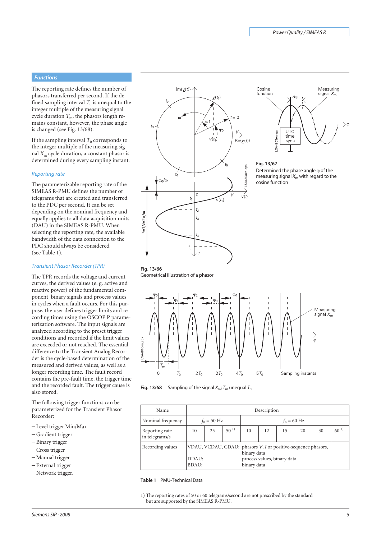### *Functions*

The reporting rate defines the number of phasors transferred per second. If the defined sampling interval  $T_0$  is unequal to the integer multiple of the measuring signal cycle duration  $T_{\rm m}$ , the phasors length remains constant, however, the phase angle is changed (see Fig. 13/68).

If the sampling interval  $T_0$  corresponds to the integer multiple of the measuring signal *X*<sup>m</sup> cycle duration, a constant phasor is determined during every sampling instant.

#### *Reporting rate*

The parameterizable reporting rate of the SIMEAS R-PMU defines the number of telegrams that are created and transferred to the PDC per second. It can be set depending on the nominal frequency and equally applies to all data acquisition units (DAU) in the SIMEAS R-PMU. When selecting the reporting rate, the available bandwidth of the data connection to the PDC should always be considered (see Table 1).

#### *Transient Phasor Recorder (TPR)*

The TPR records the voltage and current curves, the derived values (e. g. active and reactive power) of the fundamental component, binary signals and process values in cycles when a fault occurs. For this purpose, the user defines trigger limits and recording times using the OSCOP P parameterization software. The input signals are analyzed according to the preset trigger conditions and recorded if the limit values are exceeded or not reached. The essential difference to the Transient Analog Recorder is the cycle-based determination of the measured and derived values, as well as a longer recording time. The fault record contains the pre-fault time, the trigger time and the recorded fault. The trigger cause is also stored.

The following trigger functions can be parameterized for the Transient Phasor Recorder:

- − Level trigger Min/Max
- − Gradient trigger
- − Binary trigger
- − Cross trigger
- − Manual trigger
- − External trigger
- − Network trigger.





#### **Fig. 13/67** Determined the phase angle  $\varphi$  of the measuring signal  $X_m$  with regard to the cosine function







| Name                             |                                                                                 |    |          |                            | Description                 |                       |    |    |          |
|----------------------------------|---------------------------------------------------------------------------------|----|----------|----------------------------|-----------------------------|-----------------------|----|----|----------|
| Nominal frequency                | $f_n = 50 \text{ Hz}$                                                           |    |          |                            |                             | $f_n = 60 \text{ Hz}$ |    |    |          |
| Reporting rate<br>in telegrams/s | 10                                                                              | 25 | $50^{1}$ | 10                         | 12                          | 15                    | 20 | 30 | $60^{1}$ |
| Recording values                 | VDAU, VCDAU, CDAU: phasors V, I or positive-sequence phasors,<br>DDAU:<br>BDAU: |    |          | binary data<br>binary data | process values, binary data |                       |    |    |          |

#### **Table 1** PMU-Technical Data

1) The reporting rates of 50 or 60 telegrams/second are not prescribed by the standard but are supported by the SIMEAS R-PMU.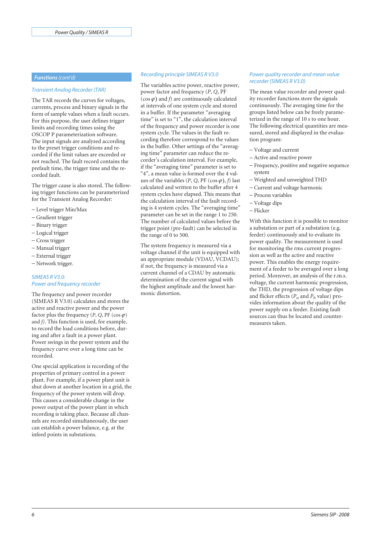#### *Transient Analog Recorder (TAR)*

The TAR records the curves for voltages, currents, process and binary signals in the form of sample values when a fault occurs. For this purpose, the user defines trigger limits and recording times using the OSCOP P parameterization software. The input signals are analyzed according to the preset trigger conditions and recorded if the limit values are exceeded or not reached. The fault record contains the prefault time, the trigger time and the recorded fault.

The trigger cause is also stored. The following trigger functions can be parameterized for the Transient Analog Recorder:

- − Level trigger Min/Max
- − Gradient trigger
- − Binary trigger
- − Logical trigger
- − Cross trigger
- − Manual trigger
- − External trigger
- − Network trigger.

# *SIMEAS R V3.0: Power and frequency recorder*

The frequency and power recorder (SIMEAS R V3.0) calculates and stores the active and reactive power and the power factor plus the frequency  $(P, Q, PF(\cos \varphi))$ and *f)*. This function is used, for example, to record the load conditions before, during and after a fault in a power plant. Power swings in the power system and the frequency curve over a long time can be recorded.

One special application is recording of the properties of primary control in a power plant. For example, if a power plant unit is shut down at another location in a grid, the frequency of the power system will drop. This causes a considerable change in the power output of the power plant in which recording is taking place. Because all channels are recorded simultaneously, the user can establish a power balance, e.g. at the infeed points in substations.

# *Functions(cont'd) Recording principle SIMEAS R V3.0*

The variables active power, reactive power, power factor and frequency (*P*, *Q*, PF  $(\cos \varphi)$  and *f*) are continuously calculated at intervals of one system cycle and stored in a buffer. If the parameter "averaging time" is set to "1", the calculation interval of the frequency and power recorder is one system cycle. The values in the fault recording therefore correspond to the values in the buffer. Other settings of the "averaging time" parameter can reduce the recorder's calculation interval. For example, if the "averaging time" parameter is set to "4", a mean value is formed over the 4 values of the variables  $(P, Q, PF(\cos \varphi), f)$  last calculated and written to the buffer after 4 system cycles have elapsed. This means that the calculation interval of the fault recording is 4 system cycles. The "averaging time" parameter can be set in the range 1 to 250. The number of calculated values before the trigger point (pre-fault) can be selected in the range of 0 to 500.

The system frequency is measured via a voltage channel if the unit is equipped with an appropriate module (VDAU, VCDAU); if not, the frequency is measured via a current channel of a CDAU by automatic determination of the current signal with the highest amplitude and the lowest harmonic distortion.

#### *Power quality recorder and mean value recorder (SIMEAS R V3.0)*

The mean value recorder and power quality recorder functions store the signals continuously. The averaging time for the groups listed below can be freely parameterized in the range of 10 s to one hour. The following electrical quantities are measured, stored and displayed in the evaluation program:

- − Voltage and current
- − Active and reactive power
- − Frequency, positive and negative sequence system
- − Weighted and unweighted THD
- − Current and voltage harmonic
- − Process variables
- − Voltage dips
- − Flicker

With this function it is possible to monitor a substation or part of a substation (e.g. feeder) continuously and to evaluate its power quality. The measurement is used for monitoring the rms current progression as well as the active and reactive power. This enables the energy requirement of a feeder to be averaged over a long period. Moreover, an analysis of the r.m.s. voltage, the current harmonic progression, the THD, the progression of voltage dips and flicker effects ( $P_{st}$  and  $P_{It}$  value) provides information about the quality of the power supply on a feeder. Existing fault sources can thus be located and countermeasures taken.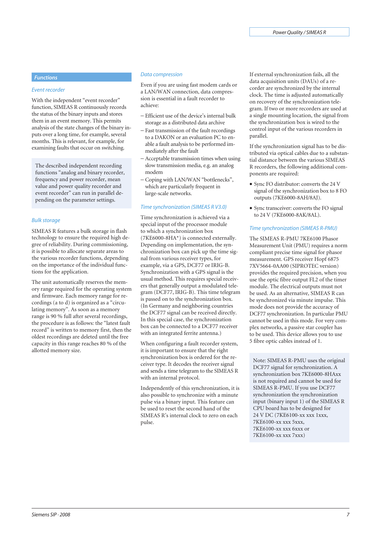#### *Event recorder*

With the independent "event recorder" function, SIMEAS R continuously records the status of the binary inputs and stores them in an event memory. This permits analysis of the state changes of the binary inputs over a long time, for example, several months. This is relevant, for example, for examining faults that occur on switching.

The described independent recording functions "analog and binary recorder, frequency and power recorder, mean value and power quality recorder and event recorder" can run in parallel depending on the parameter settings.

#### *Bulk storage*

SIMEAS R features a bulk storage in flash technology to ensure the required high degree of reliability. During commissioning, it is possible to allocate separate areas to the various recorder functions, depending on the importance of the individual functions for the application.

The unit automatically reserves the memory range required for the operating system and firmware. Each memory range for recordings (a to d) is organized as a "circulating memory". As soon as a memory range is 90 % full after several recordings, the procedure is as follows: the "latest fault record" is written to memory first, then the oldest recordings are deleted until the free capacity in this range reaches 80 % of the allotted memory size.

#### *Data compression*

Even if you are using fast modem cards or a LAN/WAN connection, data compression is essential in a fault recorder to achieve:

- − Efficient use of the device's internal bulk storage as a distributed data archive
- − Fast transmission of the fault recordings to a DAKON or an evaluation PC to enable a fault analysis to be performed immediately after the fault
- − Acceptable transmission times when using slow transmission media, e.g. an analog modem
- − Coping with LAN/WAN "bottlenecks", which are particularly frequent in large-scale networks.

#### *Time synchronization (SIMEAS R V3.0)*

Time synchronization is achieved via a special input of the processor module to which a synchronization box (7KE6000-8HA\*) is connected externally. Depending on implementation, the synchronization box can pick up the time signal from various receiver types, for example, via a GPS, DCF77 or IRIG-B. Synchronization with a GPS signal is the usual method. This requires special receivers that generally output a modulated telegram (DCF77, IRIG-B). This time telegram is passed on to the synchronization box. (In Germany and neighboring countries the DCF77 signal can be received directly. In this special case, the synchronization box can be connected to a DCF77 receiver with an integrated ferrite antenna.)

When configuring a fault recorder system, it is important to ensure that the right synchronization box is ordered for the receiver type. It decodes the receiver signal and sends a time telegram to the SIMEAS R with an internal protocol.

Independently of this synchronization, it is also possible to synchronize with a minute pulse via a binary input. This feature can be used to reset the second hand of the SIMEAS R's internal clock to zero on each pulse.

**Functions Functions** *Functions Functions Functions If external synchronization fails, all the* data acquisition units (DAUs) of a recorder are synchronized by the internal clock. The time is adjusted automatically on recovery of the synchronization telegram. If two or more recorders are used at a single mounting location, the signal from the synchronization box is wired to the control input of the various recorders in parallel.

> If the synchronization signal has to be distributed via optical cables due to a substantial distance between the various SIMEAS R recorders, the following additional components are required:

- Sync FO distributor: converts the 24 V signal of the synchronization box to 8 FO outputs (7KE6000-8AH/8AJ).
- Sync transceiver: converts the FO signal to 24 V (7KE6000-8AK/8AL).

#### *Time synchronization (SIMEAS R-PMU)*

The SIMEAS R-PMU 7KE6100 Phasor Measurement Unit (PMU) requires a norm compliant precise time signal for phasor measurement. GPS receiver Hopf 6875 7XV5664-0AA00 (SIPROTEC version) provides the required precision, when you use the optic fibre output FL2 of the timer module. The electrical outputs must not be used. As an alternative, SIMEAS R can be synchronized via minute impulse. This mode does not provide the accuracy of DCF77 synchronization. In particular PMU cannot be used in this mode. For very complex networks, a passive star coupler has to be used. This device allows you to use 5 fibre optic cables instead of 1.

Note: SIMEAS R-PMU uses the original DCF77 signal for synchronization. A synchronization box 7KE6000-8HAxx is not required and cannot be used for SIMEAS R-PMU. If you use DCF77 synchronization the synchronization input (binary input 1) of the SIMEAS R CPU board has to be designed for 24 V DC (7KE6100-xx xxx 1xxx, 7KE6100-xx xxx 5xxx, 7KE6100-xx xxx 6xxx or 7KE6100-xx xxx 7xxx)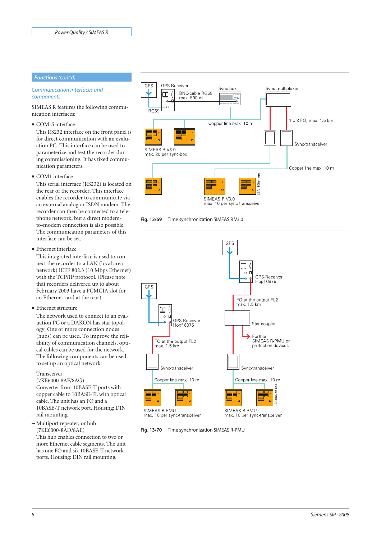# *Functions(cont'd)*

# *Communication interfaces and components*

SIMEAS R features the following communication interfaces:

• COM-S interface

This RS232 interface on the front panel is for direct communication with an evaluation PC. This interface can be used to parameterize and test the recorder during commissioning. It has fixed communication parameters.

• COM1 interface

This serial interface (RS232) is located on the rear of the recorder. This interface enables the recorder to communicate via an external analog or ISDN modem. The recorder can then be connected to a telephone network, but a direct modemto-modem connection is also possible. The communication parameters of this interface can be set.

• Ethernet interface

This integrated interface is used to connect the recorder to a LAN (local area network) IEEE 802.3 (10 Mbps Ethernet) with the TCP/IP protocol. (Please note that recorders delivered up to about February 2003 have a PCMCIA slot for an Ethernet card at the rear).

• Ethernet structure

The network used to connect to an evaluation PC or a DAKON has star topology. One or more connection nodes (hubs) can be used. To improve the reliability of communication channels, optical cables can be used for the network. The following components can be used to set up an optical network:

− Transceiver

(7KE6000-8AF/8AG) Converter from 10BASE-T ports with copper cable to 10BASE-FL with optical cable. The unit has an FO and a 10BASE-T network port. Housing: DIN rail mounting.

− Multiport repeater, or hub (7KE6000-8AD/8AE)

This hub enables connection to two or more Ethernet cable segments. The unit has one FO and six 10BASE-T network ports. Housing: DIN rail mounting.







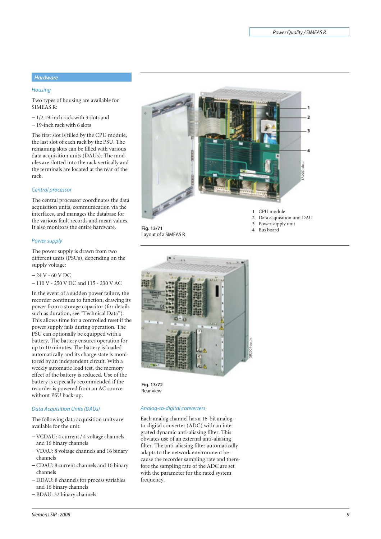# *Hardware*

# *Housing*

Two types of housing are available for SIMEAS R:

- − 1/2 19-inch rack with 3 slots and
- − 19-inch rack with 6 slots

The first slot is filled by the CPU module, the last slot of each rack by the PSU. The remaining slots can be filled with various data acquisition units (DAUs). The modules are slotted into the rack vertically and the terminals are located at the rear of the rack.

#### *Central processor*

The central processor coordinates the data acquisition units, communication via the interfaces, and manages the database for the various fault records and mean values. It also monitors the entire hardware.

#### *Power supply*

The power supply is drawn from two different units (PSUs), depending on the supply voltage:

```
− 24 V - 60 V DC
```
− 110 V - 250 V DC and 115 - 230 V AC

In the event of a sudden power failure, the recorder continues to function, drawing its power from a storage capacitor (for details such as duration, see "Technical Data"). This allows time for a controlled reset if the power supply fails during operation. The PSU can optionally be equipped with a battery. The battery ensures operation for up to 10 minutes. The battery is loaded automatically and its charge state is monitored by an independent circuit. With a weekly automatic load test, the memory effect of the battery is reduced. Use of the battery is especially recommended if the recorder is powered from an AC source without PSU back-up.

# *Data Acquisition Units (DAUs)*

The following data acquisition units are available for the unit:

- − VCDAU: 4 current / 4 voltage channels and 16 binary channels
- − VDAU: 8 voltage channels and 16 binary channels
- − CDAU: 8 current channels and 16 binary channels
- − DDAU: 8 channels for process variables and 16 binary channels
- − BDAU: 32 binary channels



**Fig. 13/71** Layout of a SIMEAS R

2 Data acquisition unit DAU<br>3 Power supply unit **3** Power supply unit **4** Bus board



**Fig. 13/72** Rear view

# *Analog-to-digital converters*

Each analog channel has a 16-bit analogto-digital converter (ADC) with an integrated dynamic anti-aliasing filter. This obviates use of an external anti-aliasing filter. The anti-aliasing filter automatically adapts to the network environment because the recorder sampling rate and therefore the sampling rate of the ADC are set with the parameter for the rated system frequency.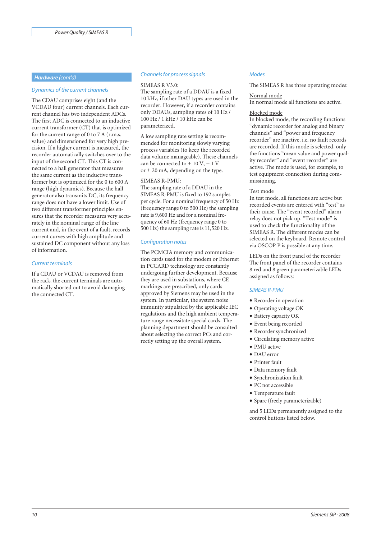#### *Dynamics of the current channels*

The CDAU comprises eight (and the VCDAU four) current channels. Each current channel has two independent ADCs. The first ADC is connected to an inductive current transformer (CT) that is optimized for the current range of 0 to 7 A (r.m.s. value) and dimensioned for very high precision. If a higher current is measured, the recorder automatically switches over to the input of the second CT. This CT is connected to a hall generator that measures the same current as the inductive transformer but is optimized for the 0 to 600 A range (high dynamics). Because the hall generator also transmits DC, its frequency range does not have a lower limit. Use of two different transformer principles ensures that the recorder measures very accurately in the nominal range of the line current and, in the event of a fault, records current curves with high amplitude and sustained DC component without any loss of information.

#### *Current terminals*

If a CDAU or VCDAU is removed from the rack, the current terminals are automatically shorted out to avoid damaging the connected CT.

# *Hardware (cont'd) Channels for process signals*

#### SIMEAS R V3.0:

The sampling rate of a DDAU is a fixed 10 kHz, if other DAU types are used in the recorder. However, if a recorder contains only DDAUs, sampling rates of 10 Hz / 100 Hz / 1 kHz / 10 kHz can be parameterized.

A low sampling rate setting is recommended for monitoring slowly varying process variables (to keep the recorded data volume manageable). These channels can be connected to  $\pm$  10 V,  $\pm$  1 V or  $\pm$  20 mA, depending on the type.

### SIMEAS R-PMU:

The sampling rate of a DDAU in the SIMEAS R-PMU is fixed to 192 samples per cycle. For a nominal frequency of 50 Hz (frequency range 0 to 500 Hz) the sampling rate is 9,600 Hz and for a nominal frequency of 60 Hz (frequency range 0 to 500 Hz) the sampling rate is 11,520 Hz.

#### *Configuration notes*

The PCMCIA memory and communication cards used for the modem or Ethernet in PCCARD technology are constantly undergoing further development. Because they are used in substations, where CE markings are prescribed, only cards approved by Siemens may be used in the system. In particular, the system noise immunity stipulated by the applicable IEC regulations and the high ambient temperature range necessitate special cards. The planning department should be consulted about selecting the correct PCs and correctly setting up the overall system.

#### *Modes*

The SIMEAS R has three operating modes:

#### Normal mode

In normal mode all functions are active.

#### Blocked mode

In blocked mode, the recording functions "dynamic recorder for analog and binary channels" and "power and frequency recorder" are inactive, i.e. no fault records are recorded. If this mode is selected, only the functions "mean value and power quality recorder" and "event recorder" are active. The mode is used, for example, to test equipment connection during commissioning.

### Test mode

In test mode, all functions are active but recorded events are entered with "test" as their cause. The "event recorded" alarm relay does not pick up. "Test mode" is used to check the functionality of the SIMEAS R. The different modes can be selected on the keyboard. Remote control via OSCOP P is possible at any time.

LEDs on the front panel of the recorder The front panel of the recorder contains 8 red and 8 green parameterizable LEDs assigned as follows:

#### *SIMEAS R-PMU*

- Recorder in operation
- Operating voltage OK
- Battery capacity OK
- Event being recorded
- Recorder synchronized
- Circulating memory active
- PMU active
- DAU error
- Printer fault
- Data memory fault
- Synchronization fault
- PC not accessible
- Temperature fault
- Spare (freely parameterizable)

and 5 LEDs permanently assigned to the control buttons listed below.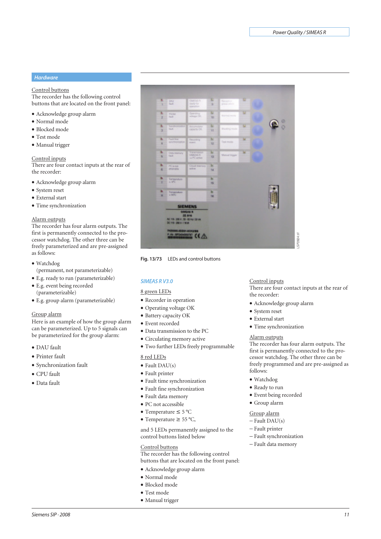# *Hardware*

# Control buttons

The recorder has the following control buttons that are located on the front panel:

- Acknowledge group alarm
- Normal mode
- Blocked mode
- Test mode
- Manual trigger

#### Control inputs

There are four contact inputs at the rear of the recorder:

- Acknowledge group alarm
- System reset
- External start
- Time synchronization

#### Alarm outputs

The recorder has four alarm outputs. The first is permanently connected to the processor watchdog. The other three can be freely parameterized and are pre-assigned as follows:

- Watchdog
- (permanent, not parameterizable)
- E.g. ready to run (parameterizable)
- E.g. event being recorded (parameterizable)
- E.g. group alarm (parameterizable)

# Group alarm

Here is an example of how the group alarm can be parameterized. Up to 5 signals can be parameterized for the group alarm:

- DAU fault
- Printer fault
- Synchronization fault
- CPU fault
- Data fault



**Fig. 13/73** LEDs and control buttons

# **SIMEAS RV3.0**

# 8 green LEDs

- Recorder in operation
- Operating voltage OK
- Battery capacity OK
- Event recorded
- Data transmission to the PC
- Circulating memory active
- Two further LEDs freely programmable

# 8 red LEDs

- $\bullet$  Fault DAU(s)
- Fault printer
- Fault time synchronization
- Fault fine synchronization
- Fault data memory
- PC not accessible
- Temperature ≤ 5 °C
- Temperature ≥ 55 °C,

and 5 LEDs permanently assigned to the control buttons listed below

### Control buttons

The recorder has the following control buttons that are located on the front panel:

#### • Acknowledge group alarm

- Normal mode
- Blocked mode
- Test mode
- Manual trigger

# Control inputs

There are four contact inputs at the rear of the recorder:

- Acknowledge group alarm
- System reset
- External start
- Time synchronization

# Alarm outputs

The recorder has four alarm outputs. The first is permanently connected to the processor watchdog. The other three can be freely programmed and are pre-assigned as follows: − Fault data memory<br>
Fault data memory<br>
Fault data memory<br>
Fault data memory<br>
Fault dark<br>
Fault data memory<br>
Fault data memory<br>
Fault data memory<br>
Fault prince – Fault prince – Fault prince – Fault prince – Fault prince –

- Watchdog
- Ready to run
- Event being recorded
- Group alarm

# Group alarm

- − Fault DAU(s)
- − Fault printer
- − Fault synchronization
-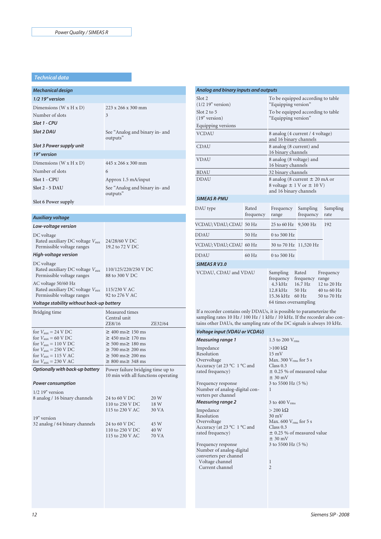# *Technical data*

| <b>Mechanical design</b> |                                            |
|--------------------------|--------------------------------------------|
| $1/2$ 19" version        |                                            |
| Dimensions $(W x H x D)$ | $223 \times 266 \times 300$ mm             |
| Number of slots          | 3                                          |
| Slot 1 - CPU             |                                            |
| Slot 2 DAU               | See "Analog and binary in- and<br>outputs" |
| Slot 3 Power supply unit |                                            |
| 19" version              |                                            |
| Dimensions $(W x H x D)$ | $445 \times 266 \times 300$ mm             |
| Number of slots          | 6                                          |
| Slot 1 - CPU             | Approx 1.5 mA/input                        |
| $Slot 2 - 5$ DAU         | See "Analog and binary in- and<br>outputs" |
| Slot 6 Power supply      |                                            |
|                          |                                            |

#### *Auxiliary voltage*

| Low-voltage version                                                                     |                                        |
|-----------------------------------------------------------------------------------------|----------------------------------------|
| DC voltage<br>Rated auxiliary DC voltage $V_{\text{aux}}$<br>Permissible voltage ranges | 24/28/60 V DC<br>19.2 to 72 V DC       |
| High-voltage version                                                                    |                                        |
| DC voltage<br>Rated auxiliary DC voltage $V_{\text{aux}}$<br>Permissible voltage ranges | 110/125/220/250 V DC<br>88 to 300 V DC |
| AC voltage 50/60 Hz<br>Rated auxiliary DC voltage $V_{\text{aux}}$                      | 115/230 V AC                           |

#### *Voltage stability without back-up battery*

Permissible voltage ranges

| Bridging time                                                                                                                                                                                                                                                                | Measured times<br>Central unit<br>ZE8/16<br>ZE32/64                                                                                                                                    |
|------------------------------------------------------------------------------------------------------------------------------------------------------------------------------------------------------------------------------------------------------------------------------|----------------------------------------------------------------------------------------------------------------------------------------------------------------------------------------|
| for $V_{\text{aux}} = 24 \text{ V} \text{ DC}$<br>for $V_{\text{aux}} = 60 \text{ V} \text{ DC}$<br>for $V_{\text{aux}} = 110 \text{ V} \text{ DC}$<br>for $V_{\text{aux}} = 250 \text{ V} \text{ DC}$<br>for $V_{\text{aux}} = 115$ V AC<br>for $V_{\text{aux}} = 230$ V AC | $\geq 400$ ms $\geq 150$ ms<br>$\geq 450$ ms $\geq 170$ ms<br>$\geq 500$ ms $\geq 180$ ms<br>$\geq$ 700 ms $\geq$ 200 ms<br>$\geq 500$ ms $\geq 200$ ms<br>$\geq 800$ ms $\geq 348$ ms |
| Optionally with back-up battery<br><b>Power consumption</b><br>$1/2$ 19" version                                                                                                                                                                                             | Power failure bridging time up to<br>10 min with all functions operating                                                                                                               |
|                                                                                                                                                                                                                                                                              |                                                                                                                                                                                        |

92 to 276 V AC

| 24 to 60 V DC   | 20 W  |
|-----------------|-------|
| 110 to 250 V DC | 18 W  |
| 115 to 230 V AC | 30 VA |
|                 |       |
| 24 to 60 V DC   | 45 W  |
| 110 to 250 V DC | 40 W  |
| 115 to 230 V AC | 70 VA |
|                 |       |

| Analog and binary inputs and outputs |                                                            |                                                                                                    |                                                     |                                                                 |  |
|--------------------------------------|------------------------------------------------------------|----------------------------------------------------------------------------------------------------|-----------------------------------------------------|-----------------------------------------------------------------|--|
| Slot 2<br>$(1/2 19"$ version)        | To be equipped according to table<br>"Equipping version"   |                                                                                                    |                                                     |                                                                 |  |
| Slot $2$ to $5$<br>$(19"$ version)   | To be equipped according to table<br>"Equipping version"   |                                                                                                    |                                                     |                                                                 |  |
| Equipping versions                   |                                                            |                                                                                                    |                                                     |                                                                 |  |
| <b>VCDAU</b>                         | 8 analog (4 current / 4 voltage)<br>and 16 binary channels |                                                                                                    |                                                     |                                                                 |  |
| <b>CDAU</b>                          |                                                            | 8 analog (8 current) and<br>16 binary channels                                                     |                                                     |                                                                 |  |
| <b>VDAU</b>                          | 8 analog (8 voltage) and<br>16 binary channels             |                                                                                                    |                                                     |                                                                 |  |
| <b>BDAU</b>                          | 32 binary channels                                         |                                                                                                    |                                                     |                                                                 |  |
| <b>DDAU</b>                          |                                                            | 8 analog (8 current $\pm$ 20 mA or<br>8 voltage $\pm$ 1 V or $\pm$ 10 V)<br>and 16 binary channels |                                                     |                                                                 |  |
| <b>SIMEAS R-PMU</b>                  |                                                            |                                                                                                    |                                                     |                                                                 |  |
| DAU type                             | Rated<br>frequency                                         | Frequency<br>range                                                                                 | Sampling<br>frequency                               | Sampling<br>rate                                                |  |
| VCDAU; VDAU; CDAU 50 Hz              |                                                            | $25$ to 60 Hz                                                                                      | 9,500 Hz                                            | 192                                                             |  |
| <b>DDAU</b>                          | 50 Hz                                                      | 0 to 500 Hz                                                                                        |                                                     |                                                                 |  |
| VCDAU; VDAU; CDAU 60 Hz              |                                                            | 30 to 70 Hz 11,520 Hz                                                                              |                                                     |                                                                 |  |
| <b>DDAU</b>                          | $60$ Hz                                                    | $0$ to 500 Hz                                                                                      |                                                     |                                                                 |  |
| <b>SIMEAS RV3.0</b>                  |                                                            |                                                                                                    |                                                     |                                                                 |  |
| VCDAU, CDAU and VDAU                 |                                                            | Sampling<br>frequency<br>$4.3$ kHz<br>$12.8$ kHz<br>15.36 kHz<br>64 times oversampling             | Rated<br>frequency<br>$16.7$ Hz<br>$50$ Hz<br>60 Hz | Frequency<br>range<br>12 to 20 Hz<br>40 to 60 Hz<br>50 to 70 Hz |  |

If a recorder contains only DDAUs, it is possible to parameterize the sampling rates 10 Hz / 100 Hz / 1 kHz / 10 kHz. If the recorder also contains other DAUs, the sampling rate of the DC signals is always 10 kHz.

> 1 2

# **Voltage input (VDAU or VCDAU)**

| Measuring range 1             | 1.5 to 200 $V_{rms}$       |
|-------------------------------|----------------------------|
| Impedance                     | $>100 \text{ k}\Omega$     |
| Resolution                    | $15 \text{ mV}$            |
| Overvoltage                   | Max. 300 $V_{rms}$ for 5 s |
| Accuracy (at 23 °C 1 °C and   | Class 0.3                  |
| rated frequency)              | $\pm$ 0.25 % of measure    |
|                               | $± 30$ mV                  |
| Frequency response            | 3 to 5500 Hz (5 %)         |
| Number of analog-digital con- |                            |
| verters per channel           |                            |
| Measuring range 2             | 3 to 400 $V_{rms}$         |
| Impedance                     | $>$ 200 k $\Omega$         |
| Resolution                    | $30 \text{ mV}$            |
| Overvoltage                   | Max. 600 $V_{rms}$ for 5 s |
| Accuracy (at 23 °C 1 °C and   | Class 0.3                  |
| rated frequency)              | $\pm$ 0.25 % of measure    |
|                               | $+30 \text{ mV}$           |

Frequency response Number of analog-digital converters per channel Voltage channel Current channel

easured value  $\%$ )

 $\overline{\text{or 5 s}}$ easured value  $± 30$  mV 3 to 5500 Hz (5 %)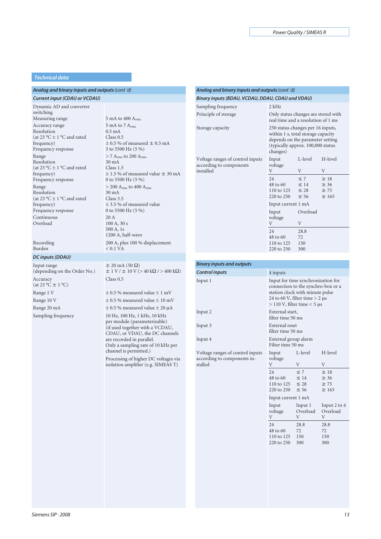### *Technical data*

# *Analog and binary inputs and outputs(cont´d)*

*Current input (CDAU or VCDAU)*

Dynamic AD and converter switching<br>Measuring range Accuracy range Resolution (at 23 °C  $\pm$  1 °C and rated frequency) Frequency response Range Resolution (at 23 °C  $\pm$  1 °C and rated frequency) Frequency response Range Resolution (at 23 °C  $\pm$  1 °C and rated frequency) Frequency response Continuous Overload

Recording Burden

#### *DC inputs (DDAU)*

Input range (depending on the Order No.) Accuracy (at  $23 \text{ °C} \pm 1 \text{ °C}$ ) Range 20 mA  $\pm$  0.5 % measured value  $\pm$  20  $\mu$ A

 $5 \text{ mA}$  to 400  $A_{\text{rms}}$ 5 mA to 7 Arms 0.5 mA Class 0.5  $\pm$  0.5 % of measured  $\pm$  0.5 mA 3 to 5500 Hz (5 %)  $> 7$   $\rm A_{rms}$  to 200  $\rm A_{rms}$ 30 mA Class 1.5  $\pm$  1.5 % of measured value  $\pm$  30 mA 0 to 5500 Hz (5 %)  $>$  200  $\rm A_{rms}$  to 400  $\rm A_{rms}$ 30 mA Class 3.5 ± 3.5 % of measured value 0 to 5500 Hz (5 %) 20 A 100 A, 30 s 500 A, 1s 1200 A, half-wave 200 A, plus 100 % displacement  $< 0.1$  VA

 $± 20$  mA (50  $\Omega$ )  $± 1 V / ± 10 V (> 40 kΩ / > 400 kΩ)$ Class 0.5 Range 1 V  $$\pm$$  0.5 % measured value  $\pm$  1 mV Range 10 V  $\pm$  0.5 % measured value  $\pm$  10 mV

Sampling frequency 10 Hz, 100 Hz, 1 kHz, 10 kHz per module (parameterizable) (if used together with a VCDAU, CDAU, or VDAU, the DC channels are recorded in parallel. Only a sampling rate of 10 kHz per channel is permitted.)

> Processing of higher DC voltages via isolation amplifier (e.g. SIMEAS T)

# *Analog and binary inputs and outputs(cont´d) Binary inputs (BDAU, VCDAU, DDAU, CDAU und VDAU)*

| Only status changes are stored with<br>Principle of storage<br>real time and a resolution of 1 ms<br>250 status changes per 16 inputs,<br>Storage capacity<br>within 1 s, total storage capacity<br>depends on the parameter setting<br>(typically approx. 100,000 status)<br>changes)<br>L-level<br>H-level<br>Voltage ranges of control inputs<br>Input<br>according to components<br>voltage<br>installed<br>V<br>V<br>V<br>$\leq 7$<br>24<br>$\geq$ 18<br>48 to 60<br>$\leq$ 14<br>$\geq 36$<br>110 to 125 $\leq 28$<br>$\geq 75$<br>220 to 250<br>$\leq 56$<br>$\geq 165$<br>Input current 1 mA<br>Overload<br>Input<br>voltage | Sampling frequency | $2$ kHz    |     |  |
|--------------------------------------------------------------------------------------------------------------------------------------------------------------------------------------------------------------------------------------------------------------------------------------------------------------------------------------------------------------------------------------------------------------------------------------------------------------------------------------------------------------------------------------------------------------------------------------------------------------------------------------|--------------------|------------|-----|--|
|                                                                                                                                                                                                                                                                                                                                                                                                                                                                                                                                                                                                                                      |                    |            |     |  |
|                                                                                                                                                                                                                                                                                                                                                                                                                                                                                                                                                                                                                                      |                    |            |     |  |
|                                                                                                                                                                                                                                                                                                                                                                                                                                                                                                                                                                                                                                      |                    |            |     |  |
|                                                                                                                                                                                                                                                                                                                                                                                                                                                                                                                                                                                                                                      |                    |            |     |  |
|                                                                                                                                                                                                                                                                                                                                                                                                                                                                                                                                                                                                                                      |                    |            |     |  |
|                                                                                                                                                                                                                                                                                                                                                                                                                                                                                                                                                                                                                                      |                    |            |     |  |
|                                                                                                                                                                                                                                                                                                                                                                                                                                                                                                                                                                                                                                      |                    |            |     |  |
|                                                                                                                                                                                                                                                                                                                                                                                                                                                                                                                                                                                                                                      |                    |            |     |  |
|                                                                                                                                                                                                                                                                                                                                                                                                                                                                                                                                                                                                                                      |                    |            |     |  |
|                                                                                                                                                                                                                                                                                                                                                                                                                                                                                                                                                                                                                                      |                    |            |     |  |
| V<br>V                                                                                                                                                                                                                                                                                                                                                                                                                                                                                                                                                                                                                               |                    |            |     |  |
| 24<br>28.8                                                                                                                                                                                                                                                                                                                                                                                                                                                                                                                                                                                                                           |                    |            |     |  |
| 48 to 60<br>72                                                                                                                                                                                                                                                                                                                                                                                                                                                                                                                                                                                                                       |                    |            |     |  |
|                                                                                                                                                                                                                                                                                                                                                                                                                                                                                                                                                                                                                                      |                    | 110 to 125 | 150 |  |
|                                                                                                                                                                                                                                                                                                                                                                                                                                                                                                                                                                                                                                      |                    | 220 to 250 | 300 |  |
|                                                                                                                                                                                                                                                                                                                                                                                                                                                                                                                                                                                                                                      |                    |            |     |  |
|                                                                                                                                                                                                                                                                                                                                                                                                                                                                                                                                                                                                                                      |                    |            |     |  |
|                                                                                                                                                                                                                                                                                                                                                                                                                                                                                                                                                                                                                                      |                    |            |     |  |

#### *Binary inputs and outputs*

| <b>Control inputs</b>                                                      | 4 inputs                                                                                                                                                                           |                                    |                                     |
|----------------------------------------------------------------------------|------------------------------------------------------------------------------------------------------------------------------------------------------------------------------------|------------------------------------|-------------------------------------|
| Input 1                                                                    | Input for time synchronization for<br>connection to the synchro-box or a<br>station clock with minute pulse<br>24 to 60 V, filter time $>$ 2 µs<br>$>$ 110 V, filter time $<$ 5 µs |                                    |                                     |
| Input 2                                                                    | External start,<br>filter time 50 ms                                                                                                                                               |                                    |                                     |
| Input 3                                                                    | External reset<br>filter time 50 ms                                                                                                                                                |                                    |                                     |
| Input 4                                                                    | External group alarm<br>Filter time 50 ms                                                                                                                                          |                                    |                                     |
| Voltage ranges of control inputs<br>according to components in-<br>stalled | Input<br>voltage<br>V                                                                                                                                                              | L-level<br>V                       | H-level<br>V                        |
|                                                                            | 24<br>48 to 60<br>110 to 125                                                                                                                                                       | $\leq 7$<br>$\leq 14$<br>$\leq 28$ | $\geq 18$<br>$\geq 36$<br>$\geq 75$ |

| 220 to 250         | $\leq 56$ | $\geq 165$   |  |  |  |  |
|--------------------|-----------|--------------|--|--|--|--|
| Input current 1 mA |           |              |  |  |  |  |
| Input              | Input 1   | Input 2 to 4 |  |  |  |  |
| voltage            | Overload  | Overload     |  |  |  |  |
| V                  | V         | V            |  |  |  |  |
| 24                 | 28.8      | 28.8         |  |  |  |  |
| 48 to 60           | 72        | 72           |  |  |  |  |
| 110 to 125         | 150       | 150          |  |  |  |  |
| 220 to 250         | 300       | 300          |  |  |  |  |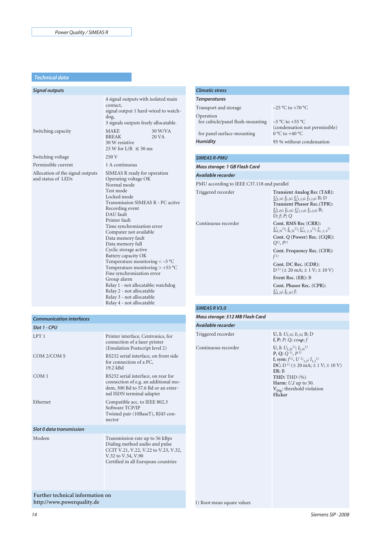#### *Technical data*

| <b>Signal outputs</b>                                  |                                                                                                                                                                                                                                                                                                                                                                                                                                                                                                                                                                                              |
|--------------------------------------------------------|----------------------------------------------------------------------------------------------------------------------------------------------------------------------------------------------------------------------------------------------------------------------------------------------------------------------------------------------------------------------------------------------------------------------------------------------------------------------------------------------------------------------------------------------------------------------------------------------|
|                                                        | 4 signal outputs with isolated main<br>contact,<br>signal output 1 hard-wired to watch-<br>dog,<br>3 signals outputs freely allocatable.                                                                                                                                                                                                                                                                                                                                                                                                                                                     |
| Switching capacity                                     | <b>MAKE</b><br>30 W/VA<br><b>BREAK</b><br>20 VA<br>30 W resistive<br>25 W for L/R $\leq$ 50 ms                                                                                                                                                                                                                                                                                                                                                                                                                                                                                               |
| Switching voltage                                      | 250 V                                                                                                                                                                                                                                                                                                                                                                                                                                                                                                                                                                                        |
| Permissible current                                    | 1 A continuous                                                                                                                                                                                                                                                                                                                                                                                                                                                                                                                                                                               |
| Allocation of the signal outputs<br>and status of LEDs | SIMEAS R ready for operation<br>Operating voltage OK<br>Normal mode<br>Test mode<br>Locked mode<br>Transmission SIMEAS R - PC active<br>Recording event<br>DAU fault<br>Printer fault<br>Time synchronization error<br>Computer not available<br>Data memory fault<br>Data memory full<br>Cyclic storage active<br>Battery capacity OK<br>Temperature monitoring $\lt -5$ °C<br>Temperature monitoring $> +55$ °C<br>Fine synchronization error<br>Group alarm<br>Relay 1 - not allocatable; watchdog<br>Relay 2 - not allocatable<br>Relay 3 - not allocatable<br>Relay 4 - not allocatable |

LPT 1 Printer interface, Centronics, for

COM 2/COM S RS232 serial interface, on front side

COM 1 RS232 serial interface, on rear for

Ethernet Compatible acc. to IEEE 802.3

Modem Transmission rate up to 56 kBps

19.2 kBd

nector

connection of a laser printer (Emulation Postscript level 2)

connection of e.g. an additional modem, 300 Bd to 57.6 Bd or an external ISDN terminal adapter

Twisted pair (10BaseT), RJ45 con-

Dialing method audio and pulse CCIT V.21, V.22, V.22 to V.23, V.32,

Certified in all European countries

for connection of a PC,

Software TCP/IP

V.32 to V.34, V.90

# *Climatic stress*

| <b>Temperatures</b>                           |                                                                      |
|-----------------------------------------------|----------------------------------------------------------------------|
| Transport and storage                         | $-25$ °C to +70 °C                                                   |
| Operation<br>for cubicle/panel flush-mounting | $-5^{\circ}$ C to +55 $^{\circ}$ C<br>(condensation not permissible) |
| for panel surface-mounting                    | $0^{\circ}$ C to $+40^{\circ}$ C                                     |
| Humidity                                      | 95 % without condensation                                            |
|                                               |                                                                      |

# *SIMEAS R-PMU*

# Mass storage: 1 GB Flash Card

Available recorder PMU according to IEEE C37.118 and parallel Triggered recorder **Transient Analog Rec (TAR):** *U*L,N; *I*L,N; *U*1,2,0; *I*1,2,0; B; D **Transient Phasor Rec.(TPR):** *U*L,N; *I*L,N; *U*1,2,0; *I*1,2,0; B; D; *f*; *P*; *Q* Continuous recorder **Cont. RMS Rec (CRR):**  $\underline{U}_{L,N}$ <sup>1</sup>);  $\underline{I}_{L,N}$ <sup>1</sup>);  $\underline{U}_{1, 2, 0}$ <sup>1</sup>);  $\underline{I}_{1, 2, 0}$ <sup>1</sup>) **Cont.** *Q* **(Power) Rec. (CQR):** *Q*1), *P*1) **Cont. Frequency Rec. (CFR):** *f* 1) **Cont. DC Rec. (CDR):** D 1) (± 20 mA; ± 1 V; ± 10 V) **Event Rec. (ER):** B **Cont. Phasor Rec. (CPR):** *U*L,N; *I*L,N; *f*;

# *SIMEAS R V3.0*

### Mass storage: 512 MB Flash Card

# Available recorder Triggered recorder

Continuous recorder

 $f, P: P$ ;  $Q$ ;  $cos\varphi$ ;  $f$ **U**, **I:**  $U_{\text{L,N}}^{1}$ ;  $I_{\text{L,N}}^{1}$ **P, Q:** *Q* 1), *P* 1) **f**, sym:  $f^{1}$ ,  $U^{1}$ <sub>1,2</sub>;  $I_{1,2}$ <sup>1</sup>) **DC:** D<sup>1)</sup> ( $\pm$  20 mA;  $\pm$  1 V;  $\pm$  10 V) **ER:** B **THD:** THD (%) **Harm:** *U*,*I* up to 50. **V**<sub>Dip</sub>: threshold violation **Flicker**

**U, I:** *U*L,N; *I*L,N; B; D

*Communication interfaces*

*Slot 0 data transmission*

*Slot 1 - CPU*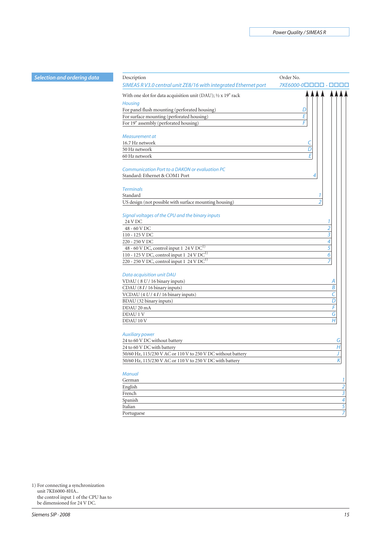| ordering data | Description                                                     | Order No.            |
|---------------|-----------------------------------------------------------------|----------------------|
|               | SIMEAS R V3.0 central unit ZE8/16 with integrated Ethernet port | 7KE6000-00000 - 0000 |
|               | With one slot for data acquisition unit (DAU); 1/2 x 19" rack   |                      |
|               | <b>Housing</b>                                                  |                      |
|               | For panel flush mounting (perforated housing)                   | D                    |
|               | For surface mounting (perforated housing)                       | Е                    |
|               | For 19" assembly (perforated housing)                           | F                    |
|               |                                                                 |                      |
|               | Measurement at                                                  |                      |
|               | 16.7 Hz network                                                 | C                    |
|               | 50 Hz network                                                   | D                    |
|               | 60 Hz network                                                   | E                    |
|               |                                                                 |                      |
|               | Communication Port to a DAKON or evaluation PC                  |                      |
|               | Standard: Ethernet & COM1 Port                                  | 4                    |
|               |                                                                 |                      |
|               | <b>Terminals</b>                                                |                      |
|               | Standard                                                        |                      |
|               | US design (not possible with surface mounting housing)          | $\overline{2}$       |
|               |                                                                 |                      |
|               | Signal voltages of the CPU and the binary inputs                |                      |
|               | 24 V DC                                                         |                      |
|               | 48 - 60 V DC                                                    | 2                    |
|               | 110 - 125 V DC                                                  | 3                    |
|               | 220 - 250 V DC                                                  | 4                    |
|               | 48 - 60 V DC, control input 1 24 V DC <sup>1)</sup>             | $\overline{5}$       |
|               | 110 - 125 V DC, control input 1 24 V DC <sup>1)</sup>           | 6                    |
|               | 220 - 250 V DC, control input 1 24 V DC <sup>1)</sup>           | 7                    |
|               |                                                                 |                      |
|               | Data acquisition unit DAU                                       |                      |
|               | VDAU (8 U / 16 binary inputs)                                   | А                    |
|               | CDAU (81/16 binary inputs)                                      | $\overline{B}$       |
|               | VCDAU (4 U / 4 I / 16 binary inputs)                            | C                    |
|               | BDAU (32 binary inputs)                                         | $\overline{D}$       |
|               | DDAU 20 mA                                                      | F                    |
|               | DDAU 1 V                                                        | $\overline{G}$       |
|               | DDAU 10 V                                                       | H                    |
|               |                                                                 |                      |
|               | <b>Auxiliary power</b>                                          |                      |
|               | 24 to 60 V DC without battery                                   | G                    |
|               | 24 to 60 V DC with battery                                      | Η                    |
|               | 50/60 Hz, 115/230 V AC or 110 V to 250 V DC without battery     |                      |
|               | 50/60 Hz, 115/230 V AC or 110 V to 250 V DC with battery        | K                    |
|               |                                                                 |                      |
|               | <b>Manual</b>                                                   |                      |
|               | German                                                          | 1                    |
|               | English                                                         | $\overline{a}$       |
|               | French                                                          | 3                    |
|               | Spanish                                                         | 4                    |
|               | Italian                                                         | 5                    |
|               | Portuguese                                                      | 7                    |

1) For connecting a synchronization unit 7KE6000-8HA.. the control input 1 of the CPU has to be dimensioned for 24 V DC.

*Selection and*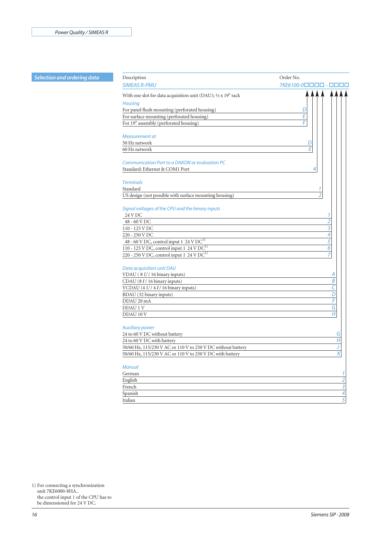# **Selection and ordering data**

| Description                                                                | Order No.                 |
|----------------------------------------------------------------------------|---------------------------|
| <b>SIMEAS R-PMU</b>                                                        | <i>7KE6100-0</i> ㅁㅁㅁㅁ -   |
| With one slot for data acquisition unit (DAU); 1/2 x 19" rack              |                           |
| <b>Housing</b>                                                             |                           |
| For panel flush mounting (perforated housing)                              | D                         |
| For surface mounting (perforated housing)                                  | E                         |
| For 19" assembly (perforated housing)                                      | F                         |
|                                                                            |                           |
| Measurement at                                                             |                           |
| 50 Hz network                                                              | D                         |
| 60 Hz network                                                              | E                         |
|                                                                            |                           |
| Communication Port to a DAKON or evaluation PC                             |                           |
| Standard: Ethernet & COM1 Port                                             | 4                         |
| <b>Terminals</b>                                                           |                           |
| Standard                                                                   |                           |
| US design (not possible with surface mounting housing)                     | $\overline{\mathcal{L}}$  |
|                                                                            |                           |
| Signal voltages of the CPU and the binary inputs                           |                           |
| 24 V DC                                                                    | 1                         |
| 48 - 60 V DC                                                               | $\overline{2}$            |
| 110 - 125 V DC                                                             | 3                         |
| 220 - 250 V DC                                                             | $\overline{4}$            |
| 48 - 60 V DC, control input $1\overline{24 \text{ V} \text{D} \text{C}^1}$ | $\overline{5}$            |
| 110 - 125 V DC, control input 1 24 V DC <sup>1)</sup>                      | 6                         |
| 220 - 250 V DC, control input 1 24 V DC <sup>1)</sup>                      | $\overline{z}$            |
| Data acquisition unit DAU                                                  |                           |
| VDAU (8 U / 16 binary inputs)                                              | А                         |
| CDAU (81/16 binary inputs)                                                 | B                         |
| VCDAU (4 U / 4 I / 16 binary inputs)                                       | C                         |
| BDAU (32 binary inputs)                                                    | D                         |
| DDAU 20 mA                                                                 | F                         |
| DDAU 1 V                                                                   | G                         |
| DDAU 10 V                                                                  | H                         |
|                                                                            |                           |
| <b>Auxiliary power</b>                                                     |                           |
| 24 to 60 V DC without battery                                              | G                         |
| 24 to 60 V DC with battery                                                 | H                         |
| 50/60 Hz, 115/230 V AC or 110 V to 250 V DC without battery                |                           |
| 50/60 Hz, 115/230 V AC or 110 V to 250 V DC with battery                   | Κ                         |
|                                                                            |                           |
| <b>Manual</b><br>German                                                    | 1                         |
| English                                                                    | $\overline{2}$            |
| French                                                                     | $\overline{\overline{3}}$ |
|                                                                            | 4                         |
| Spanish<br>Italian                                                         | $\overline{5}$            |
|                                                                            |                           |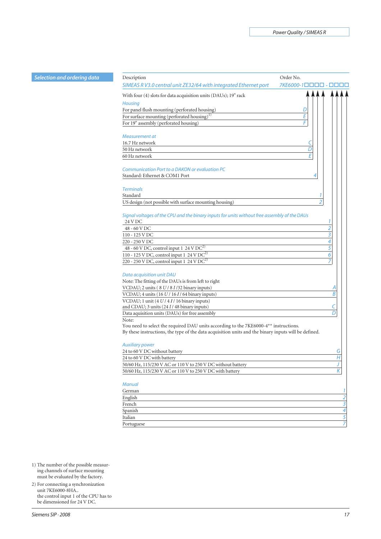| <b>Selection and ordering data</b> | Description                                                                                             | Order No.               |
|------------------------------------|---------------------------------------------------------------------------------------------------------|-------------------------|
|                                    | SIMEAS RV3.0 central unit ZE32/64 with integrated Ethernet port                                         | 7KE6000-10000 - 0000    |
|                                    | With four (4) slots for data acquisition units (DAUs); 19" rack                                         |                         |
|                                    | <b>Housing</b>                                                                                          |                         |
|                                    | For panel flush mounting (perforated housing)                                                           | D                       |
|                                    | For surface mounting (perforated housing) <sup>1)</sup>                                                 | E                       |
|                                    | For 19" assembly (perforated housing)                                                                   | F                       |
|                                    |                                                                                                         |                         |
|                                    | Measurement at                                                                                          |                         |
|                                    | 16.7 Hz network                                                                                         | Ć                       |
|                                    | 50 Hz network                                                                                           | D                       |
|                                    | 60 Hz network                                                                                           | E                       |
|                                    | Communication Port to a DAKON or evaluation PC                                                          |                         |
|                                    | Standard: Ethernet & COM1 Port                                                                          | 4                       |
|                                    |                                                                                                         |                         |
|                                    | <b>Terminals</b>                                                                                        |                         |
|                                    | Standard                                                                                                |                         |
|                                    | US design (not possible with surface mounting housing)                                                  | $\overline{2}$          |
|                                    |                                                                                                         |                         |
|                                    | Signal voltages of the CPU and the binary inputs for units without free assembly of the DAUs<br>24 V DC | 1                       |
|                                    | 48 - 60 V DC                                                                                            | $\overline{2}$          |
|                                    | 110 - 125 V DC                                                                                          | 3                       |
|                                    | 220 - 250 V DC                                                                                          | 4                       |
|                                    | 48 - 60 V DC, control input 1 $24$ V DC <sup>2)</sup>                                                   | $\overline{5}$          |
|                                    | 110 - 125 V DC, control input 1 24 V DC <sup>2)</sup>                                                   | 6                       |
|                                    | 220 - 250 V DC, control input 1 24 V DC <sup>2)</sup>                                                   | 7                       |
|                                    |                                                                                                         |                         |
|                                    | Data acquisition unit DAU                                                                               |                         |
|                                    | Note: The fitting of the DAUs is from left to right                                                     |                         |
|                                    | VCDAU; 2 units (8 U / 8 I / 32 binary inputs)                                                           | A                       |
|                                    | VCDAU; 4 units (16 U / 16 I / 64 binary inputs)                                                         | B                       |
|                                    | VCDAU; 1 unit $(4 U/4 I/16$ binary inputs)                                                              |                         |
|                                    | and CDAU; 3 units (24 I / 48 binary inputs)                                                             |                         |
|                                    | Data aquisition units (DAUs) for free assembly                                                          | D                       |
|                                    | Note:<br>You need to select the required DAU units according to the 7KE6000-4** instructions.           |                         |
|                                    | By these instructions, the type of the data acquisition units and the binary inputs will be defined.    |                         |
|                                    |                                                                                                         |                         |
|                                    | <b>Auxiliary power</b>                                                                                  |                         |
|                                    | 24 to 60 V DC without battery                                                                           | G                       |
|                                    | 24 to 60 V DC with battery                                                                              | $H_{\rm}$               |
|                                    | 50/60 Hz, 115/230 V AC or 110 V to 250 V DC without battery                                             | J                       |
|                                    | 50/60 Hz, 115/230 V AC or 110 V to 250 V DC with battery                                                | $\overline{\mathsf{K}}$ |
|                                    |                                                                                                         |                         |
|                                    | <b>Manual</b>                                                                                           |                         |
|                                    | German                                                                                                  | 1<br>$\overline{2}$     |
|                                    | English<br>French                                                                                       | $\overline{\mathbf{3}}$ |
|                                    | Spanish                                                                                                 | 4                       |
|                                    | Italian                                                                                                 | 5                       |
|                                    | Portuguese                                                                                              | 7                       |
|                                    |                                                                                                         |                         |

1) The number of the possible measuring channels of surface mounting must be evaluated by the factory.

2) For connecting a synchronization unit 7KE6000-8HA.. the control input 1 of the CPU has to be dimensioned for 24 V DC.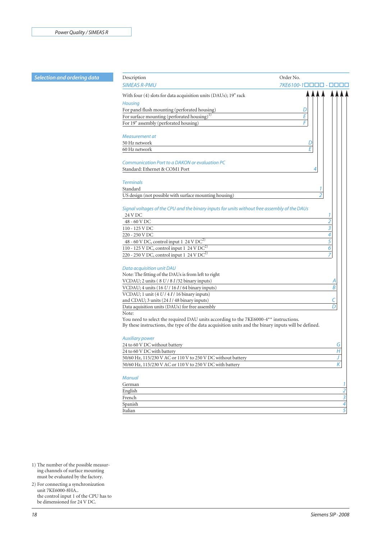# **Selection and ordering data**

| Description                                                                                          | Order No.                |
|------------------------------------------------------------------------------------------------------|--------------------------|
| <b>SIMEAS R-PMU</b>                                                                                  | 7KE6100-1□               |
| With four (4) slots for data acquisition units (DAUs); 19" rack                                      |                          |
| <b>Housing</b>                                                                                       |                          |
| For panel flush mounting (perforated housing)                                                        | D                        |
| For surface mounting (perforated housing) $^{1)}$                                                    | Е                        |
| For 19" assembly (perforated housing)                                                                | F                        |
|                                                                                                      |                          |
| Measurement at                                                                                       |                          |
| 50 Hz network                                                                                        | D                        |
| 60 Hz network                                                                                        | F                        |
|                                                                                                      |                          |
| Communication Port to a DAKON or evaluation PC                                                       |                          |
| Standard: Ethernet & COM1 Port                                                                       | 4                        |
| <b>Terminals</b>                                                                                     |                          |
| Standard                                                                                             | 1                        |
| US design (not possible with surface mounting housing)                                               | $\overline{\mathcal{L}}$ |
|                                                                                                      |                          |
| Signal voltages of the CPU and the binary inputs for units without free assembly of the DAUs         |                          |
| 24 V DC                                                                                              | 1                        |
| 48 - 60 V DC                                                                                         | $\overline{2}$           |
| 110 - 125 V DC                                                                                       | 3                        |
| 220 - 250 V DC                                                                                       | 4                        |
| 48 - 60 V DC, control input $1\overline{24 \text{ V} \text{DC}^2}$                                   | $\overline{5}$           |
| 110 - 125 V DC, control input 1 24 V DC <sup>2)</sup>                                                | 6                        |
| 220 - 250 V DC, control input 1 24 V DC <sup>2)</sup>                                                | 7                        |
|                                                                                                      |                          |
| Data acquisition unit DAU<br>Note: The fitting of the DAUs is from left to right                     |                          |
| VCDAU; 2 units (8 U / 8 I / 32 binary inputs)                                                        |                          |
|                                                                                                      | Α<br>Β                   |
| VCDAU; 4 units (16 U / 16 I / 64 binary inputs)                                                      |                          |
| VCDAU; 1 unit (4 U / 4 I / 16 binary inputs)<br>and CDAU; 3 units (24 I / 48 binary inputs)          | C                        |
|                                                                                                      | D                        |
| Data aquisition units (DAUs) for free assembly<br>Note:                                              |                          |
| You need to select the required DAU units according to the 7KE6000-4 <sup>**</sup> instructions.     |                          |
| By these instructions, the type of the data acquisition units and the binary inputs will be defined. |                          |
|                                                                                                      |                          |
| <b>Auxiliary power</b>                                                                               |                          |
| 24 to 60 V DC without battery                                                                        | G                        |
| 24 to 60 V DC with battery                                                                           | Η                        |
| 50/60 Hz, 115/230 V AC or 110 V to 250 V DC without battery                                          |                          |
| 50/60 Hz, 115/230 V AC or 110 V to 250 V DC with battery                                             | $\vert K \vert$          |
|                                                                                                      |                          |
| <b>Manual</b>                                                                                        |                          |
| German                                                                                               |                          |
| English                                                                                              |                          |
| French                                                                                               |                          |
| Spanish                                                                                              |                          |
| Italian                                                                                              |                          |

1) The number of the possible measuring channels of surface mounting must be evaluated by the factory.

2) For connecting a synchronization unit 7KE6000-8HA.. the control input 1 of the CPU has to be dimensioned for 24 V DC.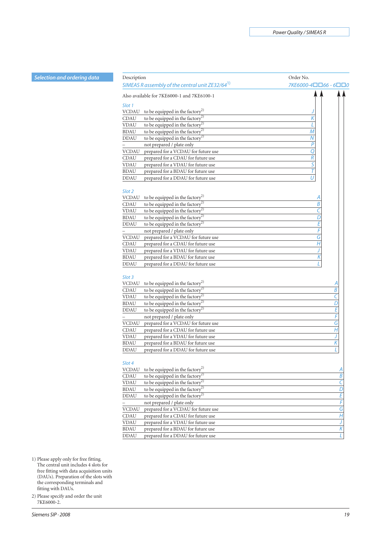|  |  |  | Selection and ordering data |
|--|--|--|-----------------------------|
|  |  |  |                             |

| <b>Selection and ordering data</b> | Description                                                 | Order No.                |
|------------------------------------|-------------------------------------------------------------|--------------------------|
|                                    | SIMEAS R assembly of the central unit ZE32/64 <sup>1)</sup> | 7KE6000-4□□66 - 6□□0     |
|                                    | Also available for 7KE6000-1 and 7KE6100-1                  |                          |
|                                    | Slot 1                                                      |                          |
|                                    | <b>VCDAU</b><br>to be equipped in the factory <sup>2)</sup> |                          |
|                                    | to be equipped in the factory <sup>2)</sup><br>CDAU         |                          |
|                                    | to be equipped in the factory <sup>2)</sup><br><b>VDAU</b>  |                          |
|                                    | <b>BDAU</b><br>to be equipped in the factory <sup>2)</sup>  | $\mathcal M$             |
|                                    | <b>DDAU</b><br>to be equipped in the factory <sup>2)</sup>  | N                        |
|                                    | not prepared / plate only                                   | $\overline{P}$           |
|                                    | prepared for a VCDAU for future use<br><b>VCDAU</b>         | Q                        |
|                                    | CDAU<br>prepared for a CDAU for future use                  | $\overline{R}$           |
|                                    | <b>VDAU</b><br>prepared for a VDAU for future use           | $\overline{\mathsf{S}}$  |
|                                    | <b>BDAU</b><br>prepared for a BDAU for future use           | T                        |
|                                    | <b>DDAU</b><br>prepared for a DDAU for future use           | U                        |
|                                    |                                                             |                          |
|                                    | Slot 2                                                      |                          |
|                                    | to be equipped in the factory <sup>2)</sup><br><b>VCDAU</b> | Α                        |
|                                    | to be equipped in the factory <sup>2)</sup><br>CDAU         | $\overline{B}$           |
|                                    | to be equipped in the factory <sup>2)</sup><br><b>VDAU</b>  | C                        |
|                                    | to be equipped in the factory <sup>2)</sup><br><b>BDAU</b>  | D                        |
|                                    | <b>DDAU</b><br>to be equipped in the factory <sup>2)</sup>  | Ē                        |
|                                    | not prepared / plate only                                   | F                        |
|                                    | <b>VCDAU</b><br>prepared for a VCDAU for future use         | G                        |
|                                    | prepared for a CDAU for future use<br>CDAU                  | Η                        |
|                                    | <b>VDAU</b><br>prepared for a VDAU for future use           |                          |
|                                    | <b>BDAU</b><br>prepared for a BDAU for future use           | Κ                        |
|                                    | <b>DDAU</b><br>prepared for a DDAU for future use           |                          |
|                                    |                                                             |                          |
|                                    | Slot 3                                                      |                          |
|                                    | to be equipped in the factory <sup>2)</sup><br><b>VCDAU</b> |                          |
|                                    | to be equipped in the factory <sup>2)</sup><br>CDAU         | B                        |
|                                    | <b>VDAU</b><br>to be equipped in the factory <sup>2</sup>   | C                        |
|                                    | <b>BDAU</b><br>to be equipped in the factory <sup>2)</sup>  | D                        |
|                                    | <b>DDAU</b><br>to be equipped in the factory <sup>2)</sup>  | E                        |
|                                    | not prepared / plate only                                   | F                        |
|                                    | prepared for a VCDAU for future use<br><b>VCDAU</b>         | G                        |
|                                    | CDAU<br>prepared for a CDAU for future use                  | H                        |
|                                    | <b>VDAU</b><br>prepared for a VDAU for future use           |                          |
|                                    | <b>BDAU</b><br>prepared for a BDAU for future use           | K                        |
|                                    | <b>DDAU</b><br>prepared for a DDAU for future use           |                          |
|                                    | Slot 4                                                      |                          |
|                                    | to be equipped in the factory <sup>2)</sup><br><b>VCDAU</b> | Α                        |
|                                    | to be equipped in the factory <sup>2)</sup><br>CDAU         | $\overline{B}$           |
|                                    | to be equipped in the factory <sup>2)</sup><br><b>VDAU</b>  | $\overline{\epsilon}$    |
|                                    | to be equipped in the factory <sup>2)</sup><br><b>BDAU</b>  | $\overline{\mathcal{D}}$ |
|                                    | to be equipped in the factory <sup>2)</sup><br><b>DDAU</b>  | E                        |
|                                    | not prepared / plate only                                   | F                        |
|                                    | <b>VCDAU</b><br>prepared for a VCDAU for future use         | $\overline{G}$           |
|                                    | CDAU<br>prepared for a CDAU for future use                  | $\overline{H}$           |
|                                    | <b>VDAU</b><br>prepared for a VDAU for future use           |                          |
|                                    | <b>BDAU</b>                                                 | J<br>K                   |
|                                    | prepared for a BDAU for future use                          |                          |

BDAU prepared for a BDAU for future use *K*<br>DDAU prepared for a DDAU for future use *L* 

prepared for a DDAU for future use

1) Please apply only for free fitting. The central unit includes 4 slots for free fitting with data acquisition units (DAUs). Preparation of the slots with the corresponding terminals and fitting with DAUs.

2) Please specify and order the unit 7KE6000-2.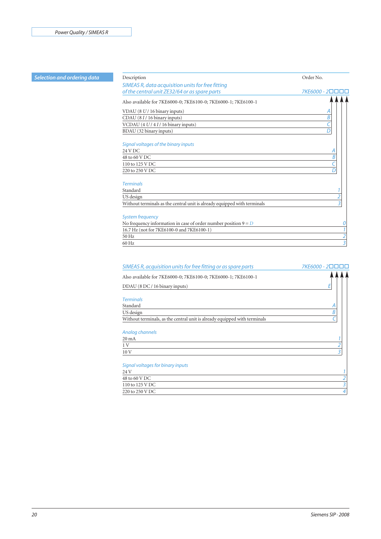| <b>Selection and ordering data</b> | Description                                                              | Order No.       |
|------------------------------------|--------------------------------------------------------------------------|-----------------|
|                                    | SIMEAS R, data acquisition units for free fitting                        |                 |
|                                    | of the central unit ZE32/64 or as spare parts                            | 7KE6000 - 2□□□□ |
|                                    | Also available for 7KE6000-0; 7KE6100-0; 7KE6000-1; 7KE6100-1            |                 |
|                                    | VDAU (8 U / 16 binary inputs)                                            |                 |
|                                    | CDAU (81/16 binary inputs)                                               | B               |
|                                    | VCDAU $(4 U/4 I/16$ binary inputs)                                       |                 |
|                                    | BDAU (32 binary inputs)                                                  | D               |
|                                    | Signal voltages of the binary inputs                                     |                 |
|                                    | 24 V DC                                                                  |                 |
|                                    | 48 to 60 V DC                                                            |                 |
|                                    | 110 to 125 V DC                                                          |                 |
|                                    | 220 to 250 V DC                                                          | D               |
|                                    | <b>Terminals</b>                                                         |                 |
|                                    | Standard                                                                 |                 |
|                                    | US design                                                                | 2               |
|                                    | Without terminals as the central unit is already equipped with terminals | $\overline{3}$  |
|                                    | <b>System frequency</b>                                                  |                 |
|                                    | No frequency information in case of order number position $9 = D$        |                 |
|                                    | 16.7 Hz (not for 7KE6100-0 and 7KE6100-1)                                |                 |
|                                    | 50 Hz                                                                    | $\overline{2}$  |
|                                    | 60 Hz                                                                    | 3               |

| SIMEAS R, acquisition units for free fitting or as spare parts            | 7KE6000 - 20000 |
|---------------------------------------------------------------------------|-----------------|
| Also available for 7KE6000-0; 7KE6100-0; 7KE6000-1; 7KE6100-1             |                 |
| DDAU (8 DC / 16 binary inputs)                                            | E               |
| <b>Terminals</b>                                                          |                 |
| Standard                                                                  | А               |
| US design                                                                 | R               |
| Without terminals, as the central unit is already equipped with terminals |                 |
| Analog channels<br>$20 \text{ mA}$<br>1 V                                 |                 |
| 10V                                                                       | 3               |
|                                                                           |                 |
| Signal voltages for binary inputs                                         |                 |
| 24 V                                                                      |                 |
| 48 to 60 V DC                                                             |                 |
| 110 to 125 V DC                                                           |                 |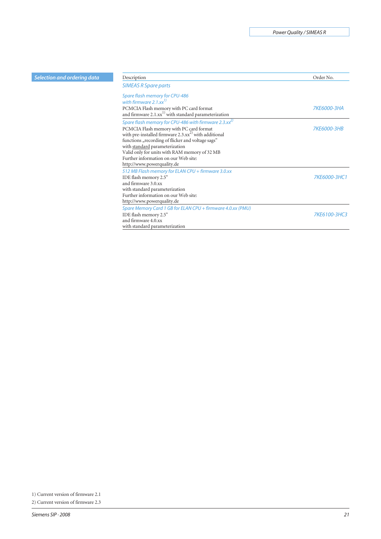|  |  |  | Selection and ordering data |
|--|--|--|-----------------------------|
|  |  |  |                             |
|  |  |  |                             |

| Selection and ordering data | Description                                                              | Order No.    |
|-----------------------------|--------------------------------------------------------------------------|--------------|
|                             | <b>SIMEAS R Spare parts</b>                                              |              |
|                             | Spare flash memory for CPU-486                                           |              |
|                             | with firmware 2.1. $xx^{\prime\prime}$                                   |              |
|                             | PCMCIA Flash memory with PC card format                                  | 7KE6000-3HA  |
|                             | and firmware 2.1.xx <sup>1)</sup> with standard parameterization         |              |
|                             | Spare flash memory for CPU-486 with firmware 2.3. $xx^{2}$               |              |
|                             | PCMCIA Flash memory with PC card format                                  | 7KE6000-3HB  |
|                             | with pre-installed firmware $2.3 \text{.x} \text{x}^{2}$ with additional |              |
|                             | functions "recording of flicker and voltage sags"                        |              |
|                             | with standard parameterization                                           |              |
|                             | Valid only for units with RAM memory of 32 MB                            |              |
|                             | Further information on our Web site:                                     |              |
|                             | http://www.powerquality.de                                               |              |
|                             | 512 MB Flash memory for ELAN CPU + firmware 3.0.xx                       |              |
|                             | IDE flash memory 2.5"                                                    | 7KE6000-3HC1 |
|                             | and firmware 3.0.xx                                                      |              |
|                             | with standard parameterization                                           |              |
|                             | Further information on our Web site:                                     |              |
|                             | http://www.powerquality.de                                               |              |
|                             | Spare Memory Card 1 GB for ELAN CPU + firmware 4.0.xx (PMU)              |              |
|                             | IDE flash memory 2.5"                                                    | 7KE6100-3HC3 |
|                             | and firmware 4.0.xx                                                      |              |
|                             | with standard parameterization                                           |              |

<sup>1)</sup> Current version of firmware 2.1

<sup>2)</sup> Current version of firmware 2.3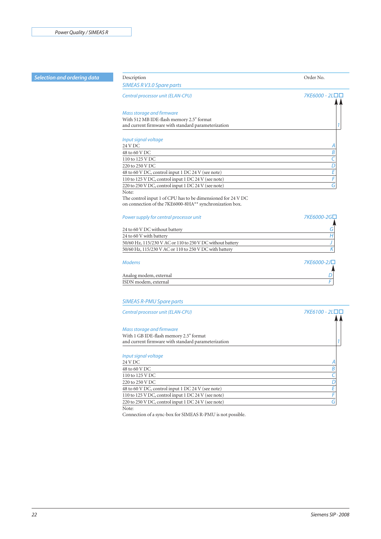#### **Selection and ordering data** Description **Description** Description **Description** Order No.

# *SIMEAS R V3.0 Spare parts Central processor unit (ELAN-CPU) Mass storage and firmware* With 512 MB IDE-flash memory 2.5" format and current firmware with standard parameterization *1 Input signal voltage* 24 V DC *A* 48 to 60 V DC *B* 110 to 125 V DC *C*  $\frac{220 \text{ to } 250 \text{ V DC}}{48 \text{ to } 60 \text{ V DC}, \text{control input 1 DC } 24 \text{ V (see note)}}$  E 48 to 60 V DC, control input 1 DC 24 V (see note) 110 to 125 V DC, control input 1 DC 24 V (see note) *F* 220 to 250 V DC, control input 1 DC 24 V (see note) *G* Note: The control input 1 of CPU has to be dimensioned for 24 V DC on connection of the 7KE6000-8HA\*\* synchronization box. *Power supply for central processor unit* 7KE6000-2G□ 24 to 60 V DC without battery *G* 24 to 60 V with battery *H* 50/60 Hz, 115/230 V AC or 110 to 250 V DC without battery *J* 50/60 Hz, 115/230 V AC or 110 to 250 V DC with battery *K Modems 7KE6000-2J-*

| Analog modem, external |  |
|------------------------|--|
| ISDN modem, external   |  |
|                        |  |

#### *SIMEAS R-PMU Spare parts*

 $Central processor unit (ELAN-CPU)$ 

*Mass storage and firmware* With 1 GB IDE-flash memory 2.5" format and current firmware with standard parameterization *1 Input signal voltage*

| mput siynur voltuyc                                 |  |
|-----------------------------------------------------|--|
| 24 V DC                                             |  |
| 48 to 60 V DC                                       |  |
| 110 to 125 V DC                                     |  |
| 220 to 250 V DC                                     |  |
| 48 to 60 V DC, control input 1 DC 24 V (see note)   |  |
| 110 to 125 V DC, control input 1 DC 24 V (see note) |  |
| 220 to 250 V DC, control input 1 DC 24 V (see note) |  |
|                                                     |  |

Note:

Connection of a sync-box for SIMEAS R-PMU is not possible.

*-*

*-*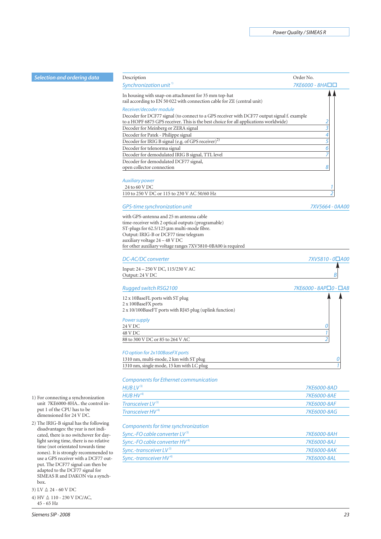| ordering data                                   | Description                                                                                                                     | Order No.             |
|-------------------------------------------------|---------------------------------------------------------------------------------------------------------------------------------|-----------------------|
|                                                 | Synchronization unit <sup>1)</sup>                                                                                              | 7КЕ6000 - 8НА□□       |
|                                                 | In housing with snap-on attachment for 35 mm top-hat<br>rail according to EN 50 022 with connection cable for ZE (central unit) |                       |
|                                                 | Receiver/decoder module<br>Decoder for DCF77 signal (to connect to a GPS receiver with DCF77 output signal f. example           |                       |
|                                                 | to a HOPF 6875 GPS receiver. This is the best choice for all applications worldwide)<br>Decoder for Meinberg or ZERA signal     | 2<br>3                |
|                                                 | Decoder for Patek - Philippe signal                                                                                             | 4                     |
|                                                 | Decoder for IRIG B signal (e.g. of GPS receiver) <sup>2)</sup>                                                                  | 5                     |
|                                                 | Decoder for telenorma signal                                                                                                    | 6                     |
|                                                 | Decoder for demodulated IRIG B signal, TTL level                                                                                |                       |
|                                                 | Decoder for demodulated DCF77 signal,                                                                                           |                       |
|                                                 | open collector connection                                                                                                       | 8                     |
|                                                 | <b>Auxiliary power</b>                                                                                                          |                       |
|                                                 | 24 to 60 V DC                                                                                                                   |                       |
|                                                 | 110 to 250 V DC or 115 to 230 V AC 50/60 Hz                                                                                     |                       |
|                                                 | GPS-time synchronization unit                                                                                                   | 7XV5664 - 0AA00       |
|                                                 | with GPS-antenna and 25 m antenna cable<br>time-receiver with 2 optical outputs (programable)                                   |                       |
|                                                 | ST-plugs for 62.5/125 µm multi-mode fibre.                                                                                      |                       |
|                                                 | Output: IRIG-B or DCF77 time telegram                                                                                           |                       |
|                                                 | auxiliary voltage 24 - 48 V DC<br>for other auxiliary voltage ranges 7XV5810-0BA00 is required                                  |                       |
|                                                 | <b>DC-AC/DC converter</b>                                                                                                       | 7XV5810 - 0□A00       |
|                                                 | Input: 24 – 250 V DC, 115/230 V AC                                                                                              |                       |
|                                                 | Output: 24 V DC                                                                                                                 |                       |
|                                                 | Rugged switch RSG2100                                                                                                           | 7КЕ6000 - 8АР□0 - □АВ |
|                                                 | 12 x 10BaseFL ports with ST plug<br>2 x 100BaseFX ports                                                                         |                       |
|                                                 | 2 x 10/100BaseFT ports with RJ45 plug (uplink function)                                                                         |                       |
|                                                 | Power supply                                                                                                                    |                       |
|                                                 | 24 V DC                                                                                                                         | 0                     |
|                                                 | 48 V DC                                                                                                                         |                       |
|                                                 | 88 to 300 V DC or 85 to 264 V AC                                                                                                |                       |
|                                                 | FO option for 2x100BaseFX ports                                                                                                 |                       |
|                                                 | 1310 nm, multi-mode, 2 km with ST plug<br>1310 nm, single mode, 15 km with LC plug                                              | 0                     |
|                                                 |                                                                                                                                 |                       |
|                                                 | <b>Components for Ethernet communication</b>                                                                                    |                       |
|                                                 | HUBLV <sup>3</sup>                                                                                                              | 7KE6000-8AD           |
| g a synchronization                             | $HUB$ $HV$ <sup>4)</sup>                                                                                                        | 7KE6000-8AE           |
| -8HA the control in-                            | Transceiver LV <sup>3)</sup>                                                                                                    | 7KE6000-8AF           |
| <sup>2</sup> U has to be<br>or 24 V DC.         | Transceiver HV <sup>4)</sup>                                                                                                    | 7KE6000-8AG           |
| gnal has the following<br>the year is not indi- | Components for time synchronization                                                                                             |                       |

| Sync.-FO cable converter $LV^3$   | <i>7KF6000-8AH</i> |
|-----------------------------------|--------------------|
| Sync.-FO cable converter $HV^{4}$ | 7KF6000-8A1        |
| Sync.-transceiver $LV^{3}$        | <i>7KF6000-8AK</i> |
| Sync.-transceiver $HV^{4}$        | <i>7KF6000-8AI</i> |
|                                   |                    |

1) For connecting a synchronization unit 7KE6000-8HA.. the control input 1 of the CP dimensioned for

2) The IRIG-B sig disadvantages: the year is not indicated, there is no switchover for daylight saving time, there is no relative time (not orientated towards time zones). It is strongly recommended to use a GPS receiver with a DCF77 output. The DCF77 signal can then be adapted to the DCF77 signal for SIMEAS R and DAKON via a synchbox.

 $(3)$  LV  $\triangleq 24 - 60$  V DC

**Selection and** 

 $(4)$  HV  $\triangleq 110 - 230$  V DC/AC, 45 - 65 Hz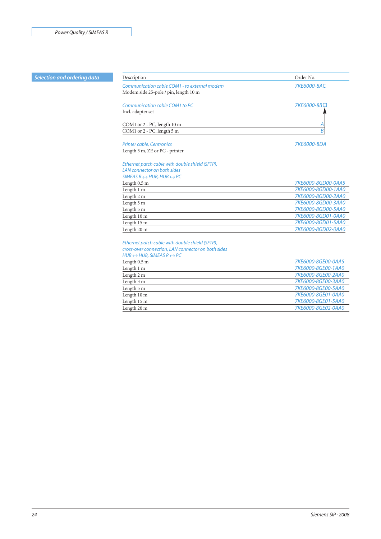| Selection and ordering data | Description                                               | Order No.          |
|-----------------------------|-----------------------------------------------------------|--------------------|
|                             | Communication cable COM1 - to external modem              | 7KE6000-8AC        |
|                             | Modem side 25-pole / pin, length 10 m                     |                    |
|                             | Communication cable COM1 to PC                            | 7KE6000-8B□        |
|                             | Incl. adapter set                                         |                    |
|                             | COM1 or 2 - PC, length 10 m                               | Α                  |
|                             | COM1 or 2 - PC, length 5 m                                | B                  |
|                             | <b>Printer cable, Centronics</b>                          | 7KE6000-8DA        |
|                             | Length 3 m, ZE or PC - printer                            |                    |
|                             | Ethernet patch cable with double shield (SFTP),           |                    |
|                             | LAN connector on both sides                               |                    |
|                             | SIMEAS $R \leftrightarrow HUB$ , $HUB \leftrightarrow PC$ |                    |
|                             | Length 0.5 m                                              | 7KE6000-8GD00-0AA5 |
|                             | Length 1 m                                                | 7KE6000-8GD00-1AA0 |
|                             | Length 2 m                                                | 7KE6000-8GD00-2AA0 |
|                             | Length 3 m                                                | 7KE6000-8GD00-3AA0 |
|                             | Length 5 m                                                | 7KE6000-8GD00-5AA0 |
|                             | Length 10 m                                               | 7KE6000-8GD01-0AA0 |
|                             | Length 15 m                                               | 7KE6000-8GD01-5AA0 |
|                             | Length 20 m                                               | 7KE6000-8GD02-0AA0 |
|                             | Ethernet patch cable with double shield (SFTP),           |                    |
|                             | cross-over connection, LAN connector on both sides        |                    |
|                             | $HUB \leftrightarrow HUB$ , SIMEAS R $\leftrightarrow PC$ |                    |
|                             | Length 0.5 m                                              | 7KE6000-8GE00-0AA5 |
|                             | Length 1 m                                                | 7KE6000-8GE00-1AA0 |
|                             | Length 2 m                                                | 7KE6000-8GE00-2AA0 |
|                             | Length 3 m                                                | 7KE6000-8GE00-3AA0 |
|                             | Length 5 m                                                | 7KE6000-8GE00-5AA0 |
|                             | Length 10 m                                               | 7KE6000-8GE01-0AA0 |
|                             |                                                           | 7KE6000-8GE01-5AA0 |

Length 15 m *7KE6000-8GE01-5AA0*

Length 20 m *7KE6000-8GE02-0AA0*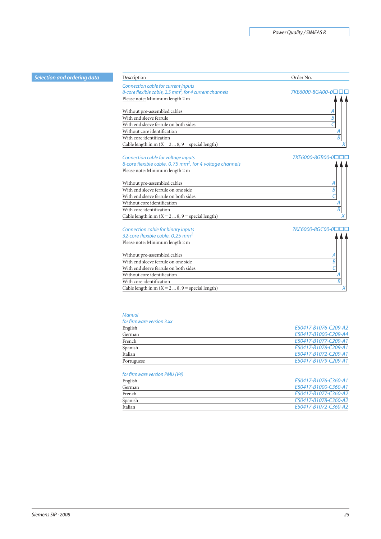| Selection and ordering data | Description                                                          | Order No.          |
|-----------------------------|----------------------------------------------------------------------|--------------------|
|                             | Connection cable for current inputs                                  |                    |
|                             | 8-core flexible cable, 2.5 mm <sup>2</sup> , for 4 current channels  | 7KE6000-8GA00-0□□□ |
|                             | Please note: Minimum length 2 m                                      |                    |
|                             | Without pre-assembled cables                                         |                    |
|                             | With end sleeve ferrule                                              | B                  |
|                             | With end sleeve ferrule on both sides                                | C                  |
|                             | Without core identification                                          | Α                  |
|                             | With core identification                                             | B                  |
|                             | Cable length in m ( $X = 2$ 8, $9$ = special length)                 |                    |
|                             | Connection cable for voltage inputs                                  | 7KE6000-8GB00-0□□□ |
|                             | 8-core flexible cable, 0.75 mm <sup>2</sup> , for 4 voltage channels |                    |
|                             | Please note: Minimum length 2 m                                      |                    |
|                             | Without pre-assembled cables                                         |                    |
|                             | With end sleeve ferrule on one side                                  | Β                  |
|                             | With end sleeve ferrule on both sides                                |                    |
|                             | Without core identification                                          | Α                  |
|                             | With core identification                                             | B                  |
|                             | Cable length in m ( $X = 2$ 8, $9$ = special length)                 | Χ                  |
|                             | Connection cable for binary inputs                                   | 7KE6000-8GC00-0□□□ |
|                             | 32-core flexible cable, 0.25 mm <sup>2</sup>                         |                    |
|                             | Please note: Minimum length 2 m                                      |                    |
|                             | Without pre-assembled cables                                         |                    |
|                             | With end sleeve ferrule on one side                                  | B                  |
|                             | With end sleeve ferrule on both sides                                | Ċ                  |
|                             | Without core identification                                          | Α                  |
|                             | With core identification                                             | B                  |
|                             | Cable length in m ( $X = 2$ 8, 9 = special length)                   |                    |

#### *Manual*

# *for firmware version 3.xx*

| English    | E50417-B1076-C209-A2 |
|------------|----------------------|
| German     | E50417-B1000-C209-A4 |
| French     | E50417-B1077-C209-A1 |
| Spanish    | E50417-B1078-C209-A1 |
| Italian    | E50417-B1072-C209-A1 |
| Portuguese | E50417-B1079-C209-A1 |

# *for firmware version PMU (V4)*

| English | E50417-B1076-C360-A1 |
|---------|----------------------|
| German  | E50417-B1000-C360-A1 |
| French  | E50417-B1077-C360-A2 |
| Spanish | E50417-B1078-C360-A2 |
| Italian | E50417-B1072-C360-A2 |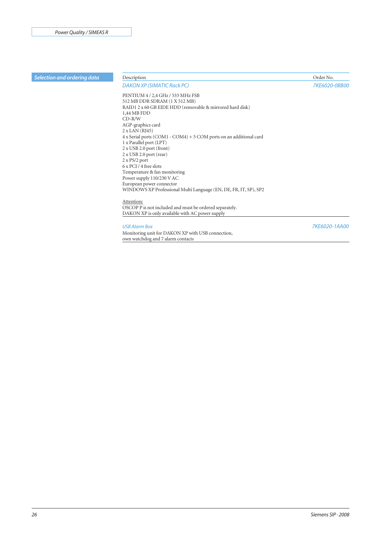| Selection and ordering data | Description                                                         | Order No.     |
|-----------------------------|---------------------------------------------------------------------|---------------|
|                             | <b>DAKON XP (SIMATIC Rack PC)</b>                                   | 7KE6020-0BB00 |
|                             | PENTIUM 4 / 2,4 GHz / 533 MHz FSB                                   |               |
|                             | 512 MB DDR SDRAM (1 X 512 MB)                                       |               |
|                             | RAID1 2 x 60 GB EIDE HDD (removable & mirrored hard disk)           |               |
|                             | 1,44 MB FDD                                                         |               |
|                             | $CD-R/W$                                                            |               |
|                             | AGP-graphics card                                                   |               |
|                             | $2 x$ LAN (RJ45)                                                    |               |
|                             | $4x$ Serial ports (COM1 - COM4) + 5 COM ports on an additional card |               |
|                             | 1 x Parallel port (LPT)                                             |               |
|                             | $2 \times$ USB 2.0 port (front)                                     |               |
|                             | 2 x USB 2.0 port (rear)                                             |               |
|                             | $2 \times PS/2$ port                                                |               |
|                             | $6 \times PCI / 4$ free slots                                       |               |
|                             | Temperature & fan monitoring                                        |               |
|                             | Power supply 110/230 V AC                                           |               |
|                             | European power connector                                            |               |
|                             | WINDOWS XP Professional Multi Language (EN, DE, FR, IT, SP), SP2    |               |
|                             | Attention:                                                          |               |
|                             | OSCOP P is not included and must be ordered separately.             |               |
|                             | DAKON XP is only available with AC power supply                     |               |
|                             | <b>USB Alarm Box</b>                                                | 7KE6020-1AA00 |
|                             | Monitoring unit for DAKON XP with USB connection,                   |               |
|                             | own watchdog and 7 alarm contacts                                   |               |
|                             |                                                                     |               |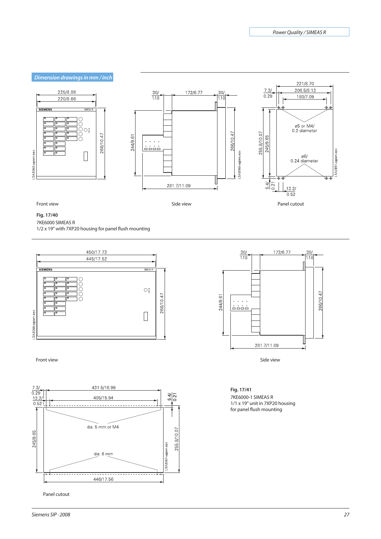

#### **Fig. 17/40**

7KE6000 SIMEAS R 1/2 x 19" with 7XP20 housing for panel flush mounting





Panel cutout



#### **Fig. 17/41**

7KE6000-1 SIMEAS R 1/1 x 19" unit in 7XP20 housing for panel flush mounting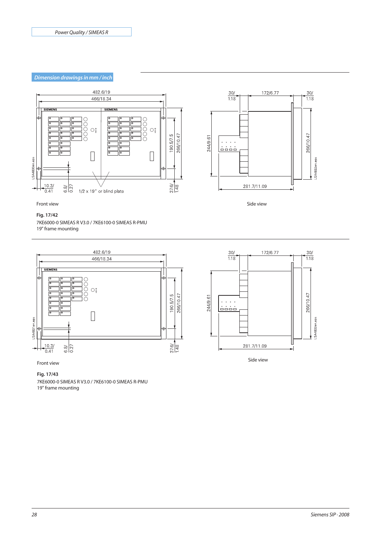# *Dimension drawings in mm / inch*



Front view

#### **Fig. 17/42**

7KE6000-0 SIMEAS R V3.0 / 7KE6100-0 SIMEAS R-PMU 19" frame mounting





#### **Fig. 17/43**

7KE6000-0 SIMEAS R V3.0 / 7KE6100-0 SIMEAS R-PMU 19" frame mounting

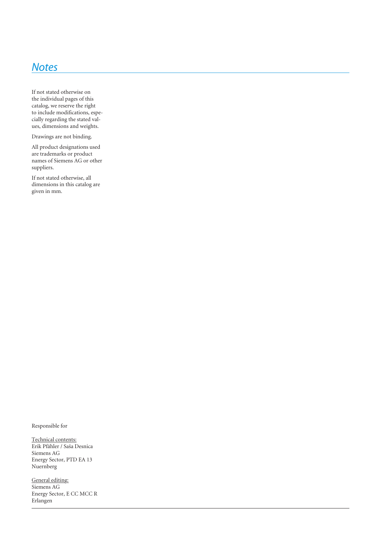# *Notes*

If not stated otherwise on the individual pages of this catalog, we reserve the right to include modifications, especially regarding the stated values, dimensions and weights.

Drawings are not binding.

All product designations used are trademarks or product names of Siemens AG or other suppliers.

If not stated otherwise, all dimensions in this catalog are given in mm.

Responsible for

Technical contents: Erik Pfähler / Saša Desnica Siemens AG Energy Sector, PTD EA 13 Nuernberg

General editing: Siemens AG Energy Sector, E CC MCC R Erlangen